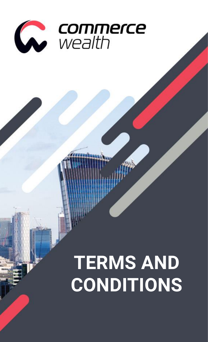

# **TERMS AND CONDITIONS**

Terms and Conditions | Page **1** of **47**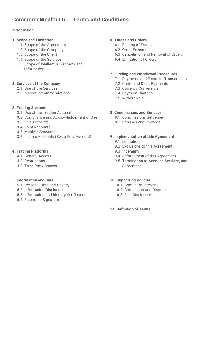# <span id="page-1-0"></span>**CommerceWealth Ltd. | Terms and Conditions**

## **[Introduction](#page-1-1)**

- **[1. Scope and Limitation](#page-3-0)**
	- [1.1. Scope of the Agreement](#page-3-1)
	- [1.2. Scope of the Company](#page-4-0)
	- [1.3. Scope of the Client](#page-4-1)
	- [1.4. Scope of the Services](#page-5-0)
	- [1.5. Scope of Intellectual Property and](#page-6-0)  [Information](#page-6-0)

### **[2. Services of the Company](#page-8-0)**

- [2.1. Use of the Services](#page-8-1)
- [2.2. Market Recommendations](#page-8-2)

### **[3. Trading Accounts](#page-10-0)**

- [3.1. Use of the Trading Account](#page-10-1)
- [3.2. Compliance and Acknowledgement of Use](#page-10-2)
- [3.3. Live Accounts](#page-12-0)
- [3.4. Joint Accounts](#page-13-0)
- [3.5. Multiple Accounts](#page-14-0)
- [3.6. Islamic Accounts \(Swap-Free Account\)](#page-14-1)

### **[4. Trading Platforms](#page-16-0)**

- [4.1. General Access](#page-16-1)
- [4.2. Restrictions](#page-16-2)
- [4.3. Third-Party Access](#page-18-0)

### **[5. Information and Data](#page-20-0)**

- [5.1. Personal Data and Privacy](#page-20-1)
- [5.2. Information Disclosure](#page-21-0)
- [5.3. Information and Identity Verification](#page-22-0)
- [5.4. Electronic Signature](#page-22-1)

### **[6. Trades and Orders](#page-23-0)**

- [6.1. Placing of Trades](#page-23-1)
- [6.2. Order Execution](#page-23-2)
- [6.3. Cancelation and Removal of Orders](#page-25-0)
- [6.4. Limitation of Orders](#page-27-0)

### **[7. Funding and Withdrawal Procedures](#page-30-0)**

- [7.1. Payments and Financial Transactions](#page-30-1)
- [7.2. Credit and Debit](#page-31-0) Payments
- [7.3. Currency Conversion](#page-32-0)
- [7.4. Payment Charges](#page-32-1)
- [7.5. Withdrawals](#page-32-2)

### **[8. Commissions and Bonuses](#page-34-0)**

- [8.1. Commissions Settlement](#page-34-1)
- [8.2. Bonuses and Rewards](#page-34-2)

### **[9. Implementation of this Agreement](#page-36-0)**

- [9.1. Limitation](#page-36-1)
- [9.2. Exclusions to this Agreement](#page-38-0)
- [9.3. Indemnity](#page-38-1)
- [9.4. Enforcement of this Agreement](#page-39-0)
- [9.5. Termination of Account, Services, and](#page-40-0) [Agreement](#page-40-0)

### **[10. Supporting Policies](#page-42-0)**

- [10.1. Conflict of Interests](#page-42-1)
- [10.2. Complaints and Disputes](#page-42-2)
- [10.3. Risk Disclosure](#page-43-0)

### <span id="page-1-1"></span>**[11. Definition of Terms](#page-45-0)**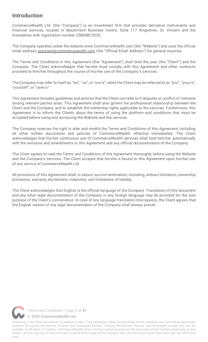# **Introduction**

CommerceWealth Ltd. (the "Company") is an investment firm that provides derivative instruments and financial services, located in Beachmont Business Centre, Suite 117 Kingstown, St. Vincent and the Grenadines with registration number 25880BC2020.

The Company operates under the website www.CommerceWealth.com (the "Website") and uses the official email address [assistant@commercewealth.com](mailto:assistant@commercewealth.com) (the "Official Email Address") for general inquiries.

The Terms and Conditions in this Agreement (the "Agreement") shall bind the user (the "Client") and the Company. The Client acknowledges that he/she must comply with this Agreement and other contracts provided to him/her throughout the course of his/her use of the Company's services.

The Company may refer to itself as "we", "us", or "our/s", while the Client may be referred to as "you", "your/s", "yourself", or "user/s".

This Agreement includes guidelines and policies that the Client can refer to if disputes or conflict of interests among relevant parties arise. This Agreement shall also govern the professional relationship between the Client and the Company, and to establish the ownership rights applicable to the services. Furthermore, this Agreement is to inform the Clients about the terms of using the platform and conditions that must be accepted before using and accessing the Website and the services.

The Company reserves the right to alter and modify the Terms and Conditions of this Agreement, including all other written documents and policies of CommerceWealth, effective immediately. The Client acknowledges that his/her continuous use of CommerceWealth services shall bind him/her automatically with the revisions and amendments to this Agreement and any official documentation of the Company.

The Client agrees to read the Terms and Conditions of this Agreement thoroughly before using the Website and the Company's services. The Client accepts that he/she is bound to this Agreement upon his/her use of any service of CommerceWealth Ltd.

All provisions of this Agreement shall, in nature, survive termination, including, without limitation, ownership provisions, warranty disclaimers, indemnity, and limitations of liability.

The Client acknowledges that English is the official language of the Company. Translation of this document and any other legal documentation of the Company in any foreign language may be provided for the sole purpose of the Client's convenience. In case of any language translation discrepancy, the Client agrees that the English version of any legal documentation of the Company shall always prevail.

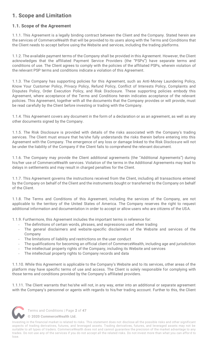# <span id="page-3-0"></span>**1. Scope and Limitation**

# <span id="page-3-1"></span>**1.1. Scope of the Agreement**

1.1.1. This Agreement is a legally binding contract between the Client and the Company. Stated herein are the services of CommerceWealth that will be provided to its users along with the Terms and Conditions that the Client needs to accept before using the Website and services, including the trading platforms.

1.1.2. The available payment terms of the Company shall be provided in this Agreement. However, the Client acknowledges that the affiliated Payment Service Providers (the "PSPs") have separate terms and conditions of use. The Client agrees to comply with the policies of the affiliated PSPs, wherein violation of the relevant PSP terms and conditions indicate a violation of this Agreement.

1.1.3. The Company has supporting policies for this Agreement, such as Anti-Money Laundering Policy, Know Your Customer Policy, Privacy Policy, Refund Policy, Conflict of Interests Policy, Complaints and Disputes Policy, Order Execution Policy, and Risk Disclosure. These supporting policies embody this Agreement, where acceptance of the Terms and Conditions herein indicates acceptance of the relevant policies. This Agreement, together with all the documents that the Company provides or will provide, must be read carefully by the Client before investing or trading with the Company.

1.1.4. This Agreement covers any document in the form of a declaration or as an agreement, as well as any other documents signed by the Company.

1.1.5. The Risk Disclosure is provided with details of the risks associated with the Company's trading services. The Client must ensure that he/she fully understands the risks therein before entering into this Agreement with the Company. The emergence of any loss or damage linked to the Risk Disclosure will not be under the liability of the Company if the Client fails to comprehend the relevant document.

1.1.6. The Company may provide the Client additional agreements (the "Additional Agreements") during his/her use of CommerceWealth services. Violation of the terms in the Additional Agreements may lead to delays in settlements and may result in charged penalties for the Client.

1.1.7. This Agreement governs the instructions received from the Client, including all transactions entered by the Company on behalf of the Client and the instruments bought or transferred to the Company on behalf of the Client.

1.1.8. The Terms and Conditions of this Agreement, including the services of the Company, are not applicable to the territory of the United States of America. The Company reserves the right to request additional information and documentation in order to accept or allow users who are citizens of the USA.

1.1.9. Furthermore, this Agreement includes the important terms in reference for:

- The definitions of certain words, phrases, and expressions used when trading
- The general disclaimers and website-specific disclaimers of the Website and services of the Company
- The limitations of liability and restrictions on the user conduct
- The qualifications for becoming an official client of CommerceWealth, including age and jurisdiction
- The intellectual property rights of the Company, including its Website and services
- The intellectual property rights to Company records and data

1.1.10. While this Agreement is applicable to the Company's Website and to its services, other areas of the platform may have specific terms of use and access. The Client is solely responsible for complying with those terms and conditions provided by the Company's affiliated providers.

1.1.11. The Client warrants that he/she will not, in any way, enter into an additional or separate agreement with the Company's personnel or agents with regards to his/her trading account. Further to this, the Client



Terms and Conditions | Page **2** of **47**

**[© 2020 CommerceWealth Ltd.](#page-1-0)**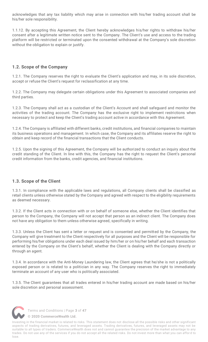acknowledges that any tax liability which may arise in connection with his/her trading account shall be his/her sole responsibility.

1.1.12. By accepting this Agreement, the Client hereby acknowledges his/her rights to withdraw his/her consent after a legitimate written notice sent to the Company. The Client's use and access to the trading platform will be restricted or terminated upon the consented withdrawal at the Company's sole discretion without the obligation to explain or justify.

# <span id="page-4-0"></span>**1.2. Scope of the Company**

1.2.1. The Company reserves the right to evaluate the Client's application and may, in its sole discretion, accept or refuse the Client's request for reclassification at any time.

1.2.2. The Company may delegate certain obligations under this Agreement to associated companies and third parties.

1.2.3. The Company shall act as a custodian of the Client's Account and shall safeguard and monitor the activities of the trading account. The Company has the exclusive right to implement restrictions when necessary to protect and keep the Client's trading account active in accordance with this Agreement.

1.2.4. The Company is affiliated with different banks, credit institutions, and financial companies to maintain its business operations and management. In which case, the Company and its affiliates reserve the right to obtain and keep record of the financial transactions that the Client conducts.

1.2.5. Upon the signing of this Agreement, the Company will be authorized to conduct an inquiry about the credit standing of the Client. In line with this, the Company has the right to request the Client's personal credit information from the banks, credit agencies, and financial institutions.

### <span id="page-4-1"></span>**1.3. Scope of the Client**

1.3.1. In compliance with the applicable laws and regulations, all Company clients shall be classified as retail clients unless otherwise stated by the Company and agreed with respect to the eligibility requirements as deemed necessary.

1.3.2. If the Client acts in connection with or on behalf of someone else, whether the Client identifies that person to the Company, the Company will not accept that person as an indirect client. The Company does not have any obligation to them unless otherwise agreed, specifically in writing.

1.3.3. Unless the Client has sent a letter or request and is consented and permitted by the Company, the Company will give treatment to the Client respectively for all purposes and the Client will be responsible for performing his/her obligations under each deal issued by him/her or on his/her behalf and each transaction entered by the Company on the Client's behalf, whether the Client is dealing with the Company directly or through an agent.

1.3.4. In accordance with the Anti-Money Laundering law, the Client agrees that he/she is not a politically exposed person or is related to a politician in any way. The Company reserves the right to immediately terminate an account of any user who is politically associated.

1.3.5. The Client guarantees that all trades entered in his/her trading account are made based on his/her sole discretion and personal assessment.



Terms and Conditions | Page **3** of **47**

**[© 2020 CommerceWealth Ltd.](#page-1-0)**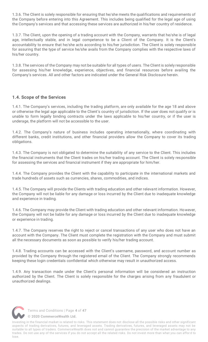1.3.6. The Client is solely responsible for ensuring that he/she meets the qualifications and requirements of the Company before entering into this Agreement. This includes being qualified for the legal age of using the Company's services and that accessing these services are authorized in his/her country of residence.

1.3.7. The Client, upon the opening of a trading account with the Company, warrants that he/she is of legal age, intellectually stable, and in legal competence to be a Client of the Company. It is the Client's accountability to ensure that he/she acts according to his/her jurisdiction. The Client is solely responsible for assuring that the type of service he/she avails from the Company complies with the respective laws of his/her country.

1.3.8. The services of the Company may not be suitable for all types of users. The Client is solely responsible for assessing his/her knowledge, experience, objectives, and financial resources before availing the Company's services. All and other factors are indicated under the General Risk Disclosure herein.

# <span id="page-5-0"></span>**1.4. Scope of the Services**

1.4.1. The Company's services, including the trading platform, are only available for the age 18 and above or otherwise the legal age applicable to the Client's country of jurisdiction. If the user does not qualify or is unable to form legally binding contracts under the laws applicable to his/her country, or if the user is underage, the platform will not be accessible to the user.

1.4.2. The Company's nature of business includes operating internationally, where coordinating with different banks, credit institutions, and other financial providers allow the Company to cover its trading obligations.

1.4.3. The Company is not obligated to determine the suitability of any service to the Client. This includes the financial instruments that the Client trades on his/her trading account. The Client is solely responsible for assessing the services and financial instrument if they are appropriate for him/her.

1.4.4. The Company provides the Client with the capability to participate in the international markets and trade hundreds of assets such as currencies, shares, commodities, and indices.

1.4.5. The Company will provide the Clients with trading education and other relevant information. However, the Company will not be liable for any damage or loss incurred by the Client due to inadequate knowledge and experience in trading.

1.4.6. The Company may provide the Client with trading education and other relevant information. However, the Company will not be liable for any damage or loss incurred by the Client due to inadequate knowledge or experience in trading.

1.4.7. The Company reserves the right to reject or cancel transactions of any user who does not have an account with the Company. The Client must complete the registration with the Company and must submit all the necessary documents as soon as possible to verify his/her trading account.

1.4.8. Trading accounts can be accessed with the Client's username, password, and account number as provided by the Company through the registered email of the Client. The Company strongly recommends keeping these login credentials confidential which otherwise may result in unauthorized access.

1.4.9. Any transaction made under the Client's personal information will be considered an instruction authorized by the Client. The Client is solely responsible for the charges arising from any fraudulent or unauthorized dealings.



Terms and Conditions | Page **4** of **47**

**[© 2020 CommerceWealth Ltd.](#page-1-0)**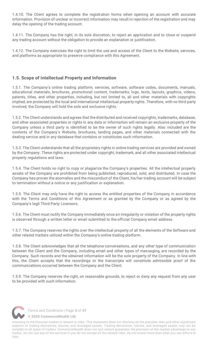1.4.10. The Client agrees to complete the registration forms when opening an account with accurate information. Provision of unclear or incorrect information may result in rejection of the registration and may delay the opening of the trading account.

1.4.11. The Company has the right, in its sole discretion, to reject an application and to close or suspend any trading account without the obligation to provide an explanation or justification.

1.4.12. The Company exercises the right to limit the use and access of the Client to the Website, services, and platforms as appropriate to preserve compliance with this Agreement.

## <span id="page-6-0"></span>**1.5. Scope of Intellectual Property and Information**

1.5.1. The Company's online trading platform, services, software, software codes, documents, manuals, educational materials, brochures, promotional content, trademarks, logo, texts, layouts, graphics, videos, patents, titles, and other properties, including, but not limited to, all and other materials with copyrights implied, are protected by the local and international intellectual property rights. Therefore, with no third party involved, the Company will hold the sole and exclusive rights.

1.5.2. The Client understands and agrees that the distributed and received copyrights, trademarks, database, and other associated properties or rights in any data or information will remain an exclusive property of the Company unless a third party is identified to be the owner of such rights legally. Also included are the contents of the Company's Website, brochures, landing pages, and other materials connected with the dealing service and in any database that contains or constitutes such information.

1.5.3. The Client understands that all the proprietary rights in online trading services are provided and owned by the Company. These rights are protected under copyright, trademark, and all other associated intellectual property regulations and laws.

1.5.4. The Client holds no right to copy or plagiarize the Company's properties. All the intellectual property assets of the Company are prohibited from being published, reproduced, sold, and distributed. In case the Company has proven the anomalies and the misconduct of the Client, his/her trading account will be subject to termination without a notice or any justification or explanation.

1.5.5. The Client may only have the right to access the entitled properties of the Company in accordance with the Terms and Conditions of this Agreement or as granted by the Company or as agreed by the Company's legit Third-Party Licensors.

1.5.6. The Client must notify the Company immediately once an irregularity or violation of the property rights is observed through a written letter or email submitted to the official Company email address.

1.5.7. The Company reserves the rights over the intellectual property of all the elements of the Software and other related matters utilized within the Company's online trading platform.

1.5.8. The Client acknowledges that all the telephone conversations, and any other type of communication between the Client and the Company, including email and other types of messaging, are recorded by the Company. Such records and the obtained information will be the sole property of the Company. In line with this, the Client accepts that the recordings or the transcripts will constitute admissible proof of the communications occurred between the Company and the Client.

1.5.9. The Company reserves the right, on reasonable grounds, to reject or deny any request from any user to be provided with such information.



Terms and Conditions | Page **5** of **47**

**[© 2020 CommerceWealth Ltd.](#page-1-0)**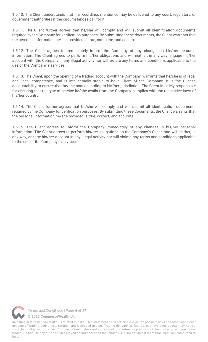1.5.10. The Client understands that the recordings mentioned may be delivered to any court, regulatory, or government authorities if the circumstances call for it.

1.5.11. The Client further agrees that he/she will comply and will submit all identification documents required by the Company for verification purposes. By submitting these documents, the Client warrants that the personal information he/she provided is true, complete, and accurate.

1.5.12. The Client agrees to immediately inform the Company of any changes in his/her personal information. The Client agrees to perform his/her obligations and will neither, in any way, engage his/her account with the Company in any illegal activity nor will violate any terms and conditions applicable to the use of the Company's services.

1.5.13. The Client, upon the opening of a trading account with the Company, warrants that he/she is of legal age, legal competence, and is intellectually stable to be a Client of the Company. It is the Client's accountability to ensure that he/she acts according to his/her jurisdiction. The Client is solely responsible for assuring that the type of service he/she avails from the Company complies with the respective laws of his/her country.

1.5.14. The Client further agrees that he/she will comply and will submit all identification documents required by the Company for verification purposes. By submitting these documents, the Client warrants that the personal information he/she provided is true, correct, and accurate.

1.5.15. The Client agrees to inform the Company immediately of any changes in his/her personal information. The Client agrees to perform his/her obligations as the Company's Client, and will neither, in any way, engage his/her account in any illegal activity nor will violate any terms and conditions applicable to the use of the Company's services.

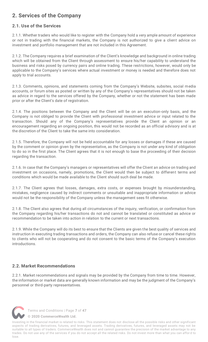# <span id="page-8-0"></span>**2. Services of the Company**

# <span id="page-8-1"></span>**2.1. Use of the Services**

2.1.1. Whether traders who would like to register with the Company hold a very ample amount of experience or not in trading with the financial markets, the Company is not authorized to give a client advice on investment and portfolio management that are not included in this Agreement.

2.1.2. The Company requires a brief examination of the Client's knowledge and background in online trading which will be obtained from the Client through assessment to ensure his/her capability to understand the business and risks posed by currency pairs and online trading. These restrictions, however, would only be applicable to the Company's services where actual investment or money is needed and therefore does not apply to trial accounts.

2.1.3. Comments, opinions, and statements coming from the Company's Website, subsites, social media accounts, or forum sites as posted or written by any of the Company's representatives should not be taken as advice in regard to the services offered by the Company, whether or not the statement has been made prior or after the Client's date of registration.

2.1.4. The positions between the Company and the Client will be on an execution-only basis, and the Company is not obliged to provide the Client with professional investment advice or input related to the transaction. Should any of the Company's representatives provide the Client an opinion or an encouragement regarding an ongoing position, this would not be recorded as an official advisory and is at the discretion of the Client to take the same into consideration.

2.1.5. Therefore, the Company will not be held accountable for any losses or damages if these are caused by the comment or opinion given by the representative, as the Company is not under any kind of obligation to do so in the first place. The Client agrees that it is not enough to base the proceeding of their decision regarding the transaction.

2.1.6. In case that the Company's managers or representatives will offer the Client an advice on trading and investment on occasions, namely, promotions, the Client would then be subject to different terms and conditions which would be made available to the Client should such deal be made.

2.1.7. The Client agrees that losses, damages, extra costs, or expenses brought by misunderstanding, mistakes, negligence caused by indirect comments or unsuitable and inappropriate information or advice would not be the responsibility of the Company unless the management sees fit otherwise.

2.1.8. The Client also agrees that during all circumstances of the inquiry, verification, or confirmation from the Company regarding his/her transactions do not and cannot be translated or constituted as advice or recommendation to be taken into action in relation to the current or next transactions.

2.1.9. While the Company will do its best to ensure that the Clients are given the best quality of services and instruction in executing trading transactions and orders, the Company can also refuse or cancel these rights to clients who will not be cooperating and do not consent to the basic terms of the Company's execution introductions.

# <span id="page-8-2"></span>**2.2. Market Recommendations**

2.2.1. Market recommendations and signals may be provided by the Company from time to time. However, the information or market data are generally known information and may be the judgment of the Company's personnel or third-party representatives.



Terms and Conditions | Page **7** of **47**

**[© 2020 CommerceWealth Ltd.](#page-1-0)**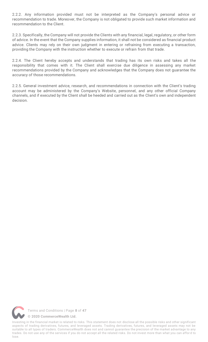2.2.2. Any information provided must not be interpreted as the Company's personal advice or recommendation to trade. Moreover, the Company is not obligated to provide such market information and recommendation to the Client.

2.2.3. Specifically, the Company will not provide the Clients with any financial, legal, regulatory, or other form of advice. In the event that the Company supplies information, it shall not be considered as financial product advice. Clients may rely on their own judgment in entering or refraining from executing a transaction, providing the Company with the instruction whether to execute or refrain from that trade.

2.2.4. The Client hereby accepts and understands that trading has its own risks and takes all the responsibility that comes with it. The Client shall exercise due diligence in assessing any market recommendations provided by the Company and acknowledges that the Company does not guarantee the accuracy of those recommendations.

2.2.5. General investment advice, research, and recommendations in connection with the Client's trading account may be administered by the Company's Website, personnel, and any other official Company channels, and if executed by the Client shall be heeded and carried out as the Client's own and independent decision.

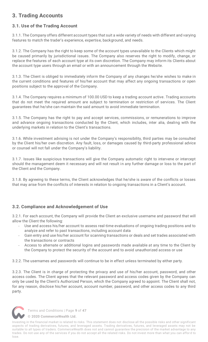# <span id="page-10-0"></span>**3. Trading Accounts**

# <span id="page-10-1"></span>**3.1. Use of the Trading Account**

3.1.1. The Company offers different account types that suit a wide variety of needs with different and varying features to match the trader's experience, expertise, background, and needs.

3.1.2. The Company has the right to keep some of the account types unavailable to the Clients which might be caused primarily by jurisdictional issues. The Company also reserves the right to modify, change, or replace the features of each account type at its own discretion. The Company may inform its Clients about the account type users through an email or with an announcement through the Website.

3.1.3. The Client is obliged to immediately inform the Company of any changes he/she wishes to make in the current conditions and features of his/her account that may affect any ongoing transactions or open positions subject to the approval of the Company.

3.1.4. The Company requires a minimum of 100.00 USD to keep a trading account active. Trading accounts that do not meet the required amount are subject to termination or restriction of services. The Client guarantees that he/she can maintain the said amount to avoid immediate termination.

3.1.5. The Company has the right to pay and accept services, commissions, or remunerations to improve and advance ongoing transactions conducted by the Client, which includes, inter alia, dealing with the underlying markets in relation to the Client's transactions.

3.1.6. While investment advising is not under the Company's responsibility, third parties may be consulted by the Client his/her own discretion. Any fault, loss, or damages caused by third-party professional advice or counsel will not fall under the Company's liability.

3.1.7. Issues like suspicious transactions will give the Company automatic right to intervene or intercept should the management deem it necessary and will not result in any further damage or loss to the part of the Client and the Company.

3.1.8. By agreeing to these terms, the Client acknowledges that he/she is aware of the conflicts or losses that may arise from the conflicts of interests in relation to ongoing transactions in a Client's account.

# <span id="page-10-2"></span>**3.2. Compliance and Acknowledgement of Use**

3.2.1. For each account, the Company will provide the Client an exclusive username and password that will allow the Client the following:

- Use and access his/her account to assess real-time evaluations of ongoing trading positions and to analyze and refer to past transactions, including account data
- Gain entry and use his/her account for scanning transactions or deals and set trades associated with the transactions or contracts
- Access to alternate or additional logins and passwords made available at any time to the Client by the Company to protect the security of the account and to avoid unauthorized access or use

3.2.2. The usernames and passwords will continue to be in effect unless terminated by either party.

3.2.3. The Client is in charge of protecting the privacy and use of his/her account, password, and other access codes. The Client agrees that the relevant password and access codes given by the Company can only be used by the Client's Authorized Person, which the Company agreed to appoint. The Client shall not, for any reason, disclose his/her account, account number, password, and other access codes to any third party.



Terms and Conditions | Page **9** of **47**

**[© 2020 CommerceWealth Ltd.](#page-1-0)**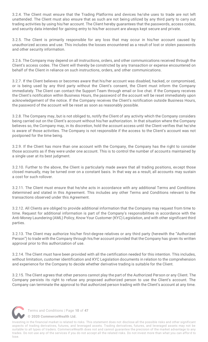3.2.4. The Client must ensure that the Trading Platforms and devices he/she uses to trade are not left unattended. The Client must also ensure that as such are not being utilized by any third party to carry out trading activities by using his/her account. The Client hereby guarantees that the passwords, access codes, and security data intended for gaining entry to his/her account are always kept secure and private.

3.2.5. The Client is primarily responsible for any loss that may occur in his/her account caused by unauthorized access and use. This includes the losses encountered as a result of lost or stolen passwords and other security information.

3.2.6. The Company may depend on all instructions, orders, and other communications received through the Client's access codes. The Client will thereby be constricted by any transaction or expense encountered on behalf of the Client in reliance on such instructions, orders, and other communications.

3.2.7. If the Client believes or becomes aware that his/her account was disabled, hacked, or compromised, or is being used by any third party without the Client's consent, the Client must inform the Company immediately. The Client can contact the Support Team through email or live chat. If the Company receives the Client's notification within Business Hours, the password of the account will be reset immediately upon acknowledgement of the notice. If the Company receives the Client's notification outside Business Hours, the password of the account will be reset as soon as reasonably possible.

3.2.8. The Company may, but is not obliged to, notify the Client of any activity which the Company considers being carried out on the Client's account without his/her authorization. In that situation where the Company believes so, the Company may, in its discretion, hold the account access until the Client verifies that he/she is aware of those activities. The Company is not responsible if the access to the Client's account was not postponed for the time being.

3.2.9. If the Client has more than one account with the Company, the Company has the right to consider those accounts as if they were under one account. This is to control the number of accounts maintained by a single user at its best judgment.

3.2.10. Further to the above, the Client is particularly made aware that all trading positions, except those closed manually, may be turned over on a constant basis. In that way as a result, all accounts may sustain a cost for such rollover.

3.2.11. The Client must ensure that he/she acts in accordance with any additional Terms and Conditions determined and stated in this Agreement. This includes any other Terms and Conditions relevant to the transactions observed under this Agreement.

3.2.12. All Clients are obliged to provide additional information that the Company may request from time to time. Request for additional information is part of the Company's responsibilities in accordance with the Anti-Money Laundering (AML) Policy, Know Your Customer (KYC) Legislation, and with other significant third parties.

3.2.13. The Client may authorize his/her first-degree relatives or any third party (herewith the "Authorized Person") to trade with the Company through his/her account provided that the Company has given its written approval prior to this authorization of use.

3.2.14. The Client must have been provided with all the certification needed for this intention. This includes, without limitation, customer identification and KYC Legislation documents in relation to the comprehension and experience for the Company to decide whether derivative trading is suitable for the Client.

3.2.15. The Client agrees that other persons cannot play the part of the Authorized Person or any Client. The Company persists its right to refuse any proposed authorized person to use the Client's account. The Company can terminate the approval to that authorized person trading with the Client's account at any time.



Terms and Conditions | Page **10** of **47**

**[© 2020 CommerceWealth Ltd.](#page-1-0)**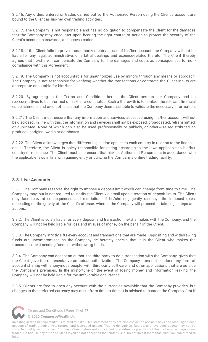3.2.16. Any orders entered or trades carried out by the Authorized Person using the Client's account are bound to the Client as his/her own trading activities.

3.2.17. The Company is not responsible and has no obligation to compensate the Client for the damages that the Company may encounter upon bearing the right course of action to protect the security of the Client's account, passwords, and access codes.

3.2.18. If the Client fails to prevent unauthorized entry or use of his/her account, the Company will not be liable for any legal, administrative, or arbitral dealings and expense-related thereto. The Client thereby agrees that he/she will compensate the Company for the damages and costs as consequences for noncompliance with this Agreement.

3.2.19. The Company is not accountable for unauthorized use by minors through any means or approach. The Company is not responsible for verifying whether the transactions or contracts the Client inputs are appropriate or suitable for him/her.

3.2.20. By agreeing to the Terms and Conditions herein, the Client permits the Company and its representatives to be informed of his/her credit status. Such a therewith is to contact the relevant financial establishments and credit officials that the Company deems suitable to validate the necessary information.

3.2.21. The Client must ensure that any information and services accessed using his/her account will not be disclosed. In line with this, the information and services shall not be exposed, broadcasted, retransmitted, or duplicated. None of which can also be used professionally or publicly, or otherwise redistributed, to produce unoriginal works or databases.

3.2.22. The Client acknowledges that different legislation applies to each country in relation to the financial deals. Therefore, the Client is solely responsible for acting according to the laws applicable to his/her country of residence. The Client must also ensure that his/her Authorized Person acts in accordance with the applicable laws in line with gaining entry or utilizing the Company's online trading facility.

### <span id="page-12-0"></span>**3.3. Live Accounts**

3.3.1. The Company reserves the right to impose a deposit limit which can change from time to time. The Company may, but is not required to, notify the Client via email upon alteration of deposit limits. The Client may face relevant consequences and restrictions if he/she negligently disobeys the imposed rules, depending on the gravity of the Client's offense, wherein the Company will proceed to take legal steps and actions.

3.3.2. The Client is solely liable for every deposit and transaction he/she makes with the Company, and the Company will not be held liable for loss and misuse of money on the behalf of the Client.

3.3.3. The Company strictly sifts every account and transactions that are made. Depositing and withdrawing funds are uncompromised as the Company deliberately checks that it is the Client who makes the transaction, be it sending funds or withdrawing funds.

3.3.4. The Company can accept an authorized third party to do a transaction with the Company, given that the Client gave the representative an actual authorization. The Company does not condone any form of account sharing with anonymous people, with third-party software, and other applications that are outside the Company's premises. In the misfortune of the event of losing money and information leaking, the Company will not be held liable for the unfavorable occurrence.

3.3.5. Clients are free to open any account with the currencies available that the Company provides, but changes in the preferred currency may occur from time to time. It is advised to contact the Company first if



Terms and Conditions | Page **11** of **47**

**[© 2020 CommerceWealth Ltd.](#page-1-0)**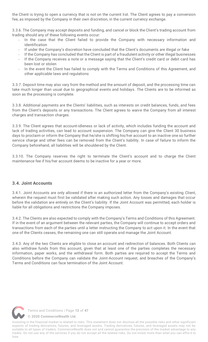the Client is trying to open a currency that is not on the current list. The Client agrees to pay a conversion fee, as imposed by the Company in their own discretion, in the current currency exchange.

3.3.6. The Company may accept deposits and funding, and cancel or block the Client's trading account from trading should any of these following events occur:

- In the case that the Client failed to provide the Company with necessary information and identification
- If under the Company's discretion have concluded that the Client's documents are illegal or fake
- If the Company has concluded that the Client is part of a fraudulent activity or other illegal businesses If the Company receives a note or a message saying that the Client's credit card or debit card has
- been lost or stolen In the event the Client has failed to comply with the Terms and Conditions of this Agreement, and
- other applicable laws and regulations

3.3.7. Deposit time may also vary from the method and the amount of deposit, and the processing time can take much longer than usual due to geographical events and holidays. The Clients are to be informed as soon as the processing is complete.

3.3.8. Additional payments are the Clients' liabilities, such as interests on credit balances, funds, and fees from the Client's deposits or any transactions. The Client agrees to waive the Company from all interest charges and transaction charges.

3.3.9. The Client agrees that account-idleness or lack of activity, which includes funding the account and lack of trading activities, can lead to account suspension. The Company can give the Client 30 business days to proclaim or inform the Company that he/she is shifting his/her account to an inactive one so further service charge and other fees can be removed from the Client's liability. In case of failure to inform the Company beforehand, all liabilities will be shouldered by the Client.

3.3.10. The Company reserves the right to terminate the Client's account and to charge the Client maintenance fee if his/her account deems to be inactive for a year or more.

### <span id="page-13-0"></span>**3.4. Joint Accounts**

3.4.1. Joint Accounts are only allowed if there is an authorized letter from the Company's existing Client, wherein the request must first be validated after making such action. Any losses and damages that occur before the validation are entirely on the Client's liability. If the Joint Account was permitted, each holder is liable for all obligations and restrictions the Company imposes.

3.4.2. The Clients are also expected to comply with the Company's Terms and Conditions of this Agreement. If in the event of an argument between the relevant parties, the Company will continue to accept orders and transactions from each of the parties until a letter instructing the Company to act upon it. In the event that one of the Clients ceases, the remaining one can still operate and manage the Joint Account.

3.4.3. Any of the two Clients are eligible to close an account and redirection of balances. Both Clients can also withdraw funds from this account, given that at least one of the parties completes the necessary information, paper works, and the withdrawal form. Both parties are required to accept the Terms and Conditions before the Company can validate the Joint-Account request, and breaches of the Company's Terms and Conditions can face termination of the Joint Account.

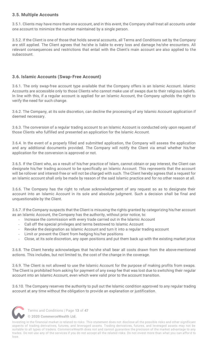# <span id="page-14-0"></span>**3.5. Multiple Accounts**

3.5.1. Clients may have more than one account, and in this event, the Company shall treat all accounts under one account to minimize the number maintained by a single person.

3.5.2. If the Client is one of those that holds several accounts, all Terms and Conditions set by the Company are still applied. The Client agrees that he/she is liable to every loss and damage he/she encounters. All relevant consequences and restrictions that entail with the Client's main account are also applied to the subaccount.

# <span id="page-14-1"></span>**3.6. Islamic Accounts (Swap-Free Account)**

3.6.1. The only swap-free account type available that the Company offers is an Islamic Account. Islamic Accounts are accessible only to those Clients who cannot make use of swaps due to their religious beliefs. In line with this, if a regular account is applied for an Islamic Account, the Company upholds the right to verify the need for such change.

3.6.2. The Company, at its sole discretion, can decline the processing of any Islamic Account application if deemed necessary.

3.6.3. The conversion of a regular trading account to an Islamic Account is conducted only upon request of those Clients who fulfilled and presented an application for the Islamic Account.

3.6.4. In the event of a properly filled and submitted application, the Company will assess the application and any additional documents provided. The Company will notify the Client via email whether his/her application for the conversion is approved or not.

3.6.5. If the Client who, as a result of his/her practice of Islam, cannot obtain or pay interest, the Client can designate his/her trading account to be specifically an Islamic Account. This represents that the account will be rollover and interest-free or will not be charged with such. The Client hereby agrees that a request for an Islamic account shall only be made by reason of the said Islamic practice and for no other reason at all.

3.6.6. The Company has the right to refuse acknowledgement of any request so as to designate their account into an Islamic Account in its sole and absolute judgment. Such a decision shall be final and unquestionable by the Client.

3.6.7. If the Company suspects that the Client is misusing the rights granted by categorizing his/her account as an Islamic Account, the Company has the authority, without prior notice, to:

- Increase the commission with every trade carried out in the Islamic Account
- Call off the special privileges and terms bestowed to Islamic Account
- Revoke the designation as Islamic Account and turn it into a regular trading account
- Limit or prevent the Client from hedging his/her positions
- Close, at its sole discretion, any open positions and put them back up with the existing market price

3.6.8. The Client hereby acknowledges that he/she shall bear all costs drawn from the above-mentioned actions. This includes, but not limited to, the cost of the change in the coverage.

3.6.9. The Client is not allowed to use the Islamic Account for the purpose of making profits from swaps. The Client is prohibited from asking for payment of any swap fee that was lost due to switching their regular account into an Islamic Account, even which were valid prior to the account transition.

3.6.10. The Company reserves the authority to pull out the Islamic condition approved to any regular trading account at any time without the obligation to provide an explanation or justification.



Terms and Conditions | Page **13** of **47**

**[© 2020 CommerceWealth Ltd.](#page-1-0)**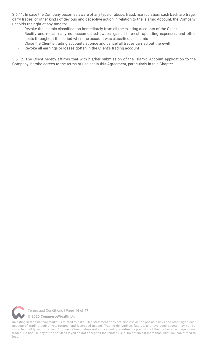3.6.11. In case the Company becomes aware of any type of abuse, fraud, manipulation, cash back arbitrage, carry trades, or other kinds of devious and deceptive action in relation to the Islamic Account, the Company upholds the right at any time to:

- Revoke the Islamic classification immediately from all the existing accounts of the Client
- Rectify and reclaim any non-accumulated swaps, gained interest, operating expenses, and other costs throughout the period when the account was classified as Islamic
- Close the Client's trading accounts at once and cancel all trades carried out therewith
- Revoke all earnings or losses gotten in the Client's trading account

3.6.12. The Client hereby affirms that with his/her submission of the Islamic Account application to the Company, he/she agrees to the terms of use set in this Agreement, particularly in this Chapter.

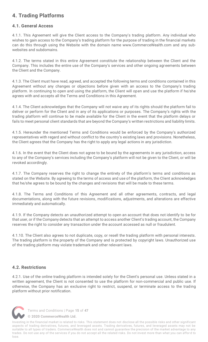# <span id="page-16-0"></span>**4. Trading Platforms**

# <span id="page-16-1"></span>**4.1. General Access**

4.1.1. This Agreement will give the Client access to the Company's trading platform. Any individual who wishes to gain access to the Company's trading platform for the purpose of trading in the financial markets can do this through using the Website with the domain name www.CommerceWealth.com and any subwebsites and subdomains.

4.1.2. The terms stated in this entire Agreement constitute the relationship between the Client and the Company. This includes the entire use of the Company's services and other ongoing agreements between the Client and the Company.

4.1.3. The Client must have read, agreed, and accepted the following terms and conditions contained in this Agreement without any changes or objections before given with an access to the Company's trading platform. In continuing to open and using the platform, the Client will open and use the platform if he/she agrees with and accepts all the Terms and Conditions in this Agreement.

4.1.4. The Client acknowledges that the Company will not waive any of its rights should the platform fail to deliver or perform for the Client and in any of its applications or purposes. The Company's rights with the trading platform will continue to be made available for the Client in the event that the platform delays or fails to meet personal client standards that are beyond the Company's written restrictions and liability limits.

4.1.5. Hereunder the mentioned Terms and Conditions would be enforced by the Company's authorized representatives with regard and without conflict to the country's existing laws and provisions. Nonetheless, the Client agrees that the Company has the right to apply any legal actions in any jurisdiction.

4.1.6. In the event that the Client does not agree to be bound by the agreements in any jurisdiction, access to any of the Company's services including the Company's platform will not be given to the Client, or will be revoked accordingly.

4.1.7. The Company reserves the right to change the entirety of the platform's terms and conditions as stated on the Website. By agreeing to the terms of access and use of the platform, the Client acknowledges that he/she agrees to be bound by the changes and revisions that will be made to these terms.

4.1.8. The Terms and Conditions of this Agreement and all other agreements, contracts, and legal documentations, along with the future revisions, modifications, adjustments, and alterations are effective immediately and automatically.

4.1.9. If the Company detects an unauthorized attempt to open an account that does not identify to be for that user, or if the Company detects that an attempt to access another Client's trading account, the Company reserves the right to consider any transaction under the account accessed as null or fraudulent.

4.1.10. The Client also agrees to not duplicate, copy, or resell the trading platform with personal interests. The trading platform is the property of the Company and is protected by copyright laws. Unauthorized use of the trading platform may violate trademark and other relevant laws.

# <span id="page-16-2"></span>**4.2. Restrictions**

4.2.1. Use of the online trading platform is intended solely for the Client's personal use. Unless stated in a written agreement, the Client is not consented to use the platform for non-commercial and public use. If otherwise, the Company has an exclusive right to restrict, suspend, or terminate access to the trading platform without prior notification.



Terms and Conditions | Page **15** of **47**

**[© 2020 CommerceWealth Ltd.](#page-1-0)**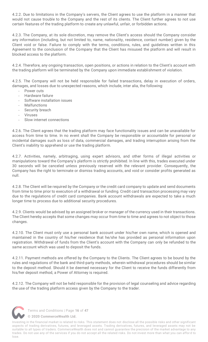4.2.2. Due to limitations in the Company's servers, the Client agrees to use the platform in a manner that would not cause trouble to the Company and the rest of its clients. The Client further agrees to not use certain features of the trading platform to create any unlawful, unfair, or forbidden actions.

4.2.3. The Company, at its sole discretion, may remove the Client's access should the Company consider any information (including, but not limited to, name, nationality, residence, contact number) given by the Client void or false. Failure to comply with the terms, conditions, rules, and guidelines written in this Agreement to the conclusion of the Company that the Client has misused the platform and will result in blocked access to the platform.

4.2.4. Therefore, any ongoing transaction, open positions, or actions in relation to the Client's account with the trading platform will be terminated by the Company upon immediate establishment of violation.

4.2.5. The Company will not be held responsible for failed transactions, delay in execution of orders, damages, and losses due to unexpected reasons, which include, inter alia, the following:

- Power cuts
- Hardware failure
- Software installation issues
- **Malfunctions**
- Security breach
- **Viruses**
- Slow internet connections

4.2.6. The Client agrees that the trading platform may face functionality issues and can be unavailable for access from time to time. In no event shall the Company be responsible or accountable for personal or incidental damages such as loss of data, commercial damages, and trading interruption arising from the Client's inability to apprehend or use the trading platform.

4.2.7. Activities, namely, arbitraging, using expert advisors, and other forms of illegal activities or manipulations toward the Company's platform is strictly prohibited. In line with this, trades executed under 30 seconds will be canceled unless previously reserved with the relevant provider. Consequently, the Company has the right to terminate or dismiss trading accounts, and void or consider profits generated as null.

4.2.8. The Client will be required by the Company or the credit card company to update and send documents from time to time prior to execution of a withdrawal or funding. Credit card transaction processing may vary due to the regulations of credit card companies. Bank account withdrawals are expected to take a much longer time to process due to additional security procedures.

4.2.9. Clients would be advised by an assigned broker or manager of the currency used in their transactions. The Client hereby accepts that some changes may occur from time to time and agrees to not object to those changes.

4.2.10. The Client must only use a personal bank account under his/her own name, which is opened and maintained in the country of his/her residence that he/she has provided as personal information upon registration. Withdrawal of funds from the Client's account with the Company can only be refunded to the same account which was used to deposit the funds.

4.2.11. Payment methods are offered by the Company to the Clients. The Client agrees to be bound by the rules and regulations of the bank and third-party methods, wherein withdrawal procedures should be similar to the deposit method. Should it be deemed necessary for the Client to receive the funds differently from his/her deposit method, a Power of Attorney is required.

4.2.12. The Company will not be held responsible for the provision of legal counseling and advice regarding the use of the trading platform access given by the Company to the trader.



Terms and Conditions | Page **16** of **47**

**[© 2020 CommerceWealth Ltd.](#page-1-0)**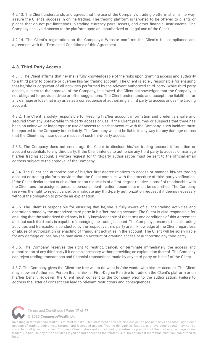4.2.13. The Client understands and agrees that the use of the Company's trading platform shall, in no way, assure the Client's success in online trading. The trading platform is targeted to be offered to clients or places that do not put limitations in trading currency pairs, assets, and other financial instruments. The Company shall void access to the platform upon an unauthorized or illegal use of the Client.

4.2.14. The Client's registration on the Company's Website confirms the Client's full compliance and agreement with the Terms and Conditions of this Agreement.

# <span id="page-18-0"></span>**4.3. Third-Party Access**

4.3.1. The Client affirms that he/she is fully knowledgeable of the risks upon granting access and authority to a third party to operate or oversee his/her trading account. The Client is solely responsible for ensuring that he/she is cognizant of all activities performed by the relevant authorized third party. While third-party access, subject to the approval of the Company, is allowed, the Client acknowledges that the Company is not obligated to provide advice or offer suggestions. The Client understands and accepts the liabilities for any damage or loss that may arise as a consequence of authorizing a third party to access or use the trading account.

4.3.2. The Client is solely responsible for keeping his/her account information and credentials safe and secured from any unfavorable third-party access or use. If the Client presumes or suspects that there has been an unknown or inappropriate use or access to his/her account with the Company, such incident must be reported to the Company immediately. The Company will not be liable in any way for any damage or loss that the Client may incur due to misuse of such third-party access.

4.3.3. The Company does not encourage the Client to disclose his/her trading account information or account credentials to any third party. If the Client intends to authorize any third party to access or manage his/her trading account, a written request for third-party authorization must be sent to the official email address subject to the approval of the Company.

4.3.4. The Client can authorize one of his/her first-degree relatives to access or manage his/her trading account or trading platform provided that the Client complies with the procedure of third-party verification. If the Client declares that such authorization request is of a first-degree relative, a proof of relationship with the Client and the assigned person's personal identification documents must be submitted. The Company reserves the right to reject, cancel, or invalidate any third-party authorization request if it deems necessary without the obligation to provide an explanation.

4.3.5. The Client is responsible for ensuring that he/she is fully aware of all the trading activities and operations made by the authorized third party in his/her trading account. The Client is also responsible for ensuring that the authorized third party is fully knowledgeable of the terms and conditions of this Agreement and that such third party is capable of managing the trading account. The Company presumes that all trading activities and transactions conducted by the respective third party are in knowledge of the Client regardless of abuse of authorization or enacting of fraudulent activities in the account. The Client will be solely liable for any damage or loss he/she may incur on account of granting access or authorizing any third party.

4.3.6. The Company reserves the right to restrict, cancel, or terminate immediately the access and authorization of any third party if it deems necessary without providing an explanation thereof. The Company can reject trading transactions and financial transactions made by any third party on behalf of the Client.

4.3.7. The Company gives the Client the free will to do what he/she wants with his/her account. The Client may allow an Authorized Person that is his/her First-Degree Relative to trade on the Client's platform or on his/her behalf. However, the Client must consent to the Company prior to the authorization. Failure to address the letter of consent can lead to relevant restrictions and consequences.



Terms and Conditions | Page **17** of **47**

**[© 2020 CommerceWealth Ltd.](#page-1-0)**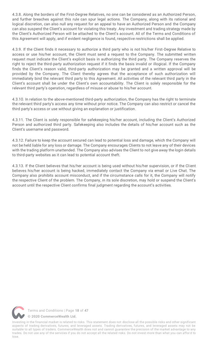4.3.8. Along the borders of the First-Degree Relatives, no one can be considered as an Authorized Person, and further breaches against this rule can spur legal actions. The Company, along with its rational and logical discretion, can also null any request for an appeal to have an Authorized Person and the Company can also suspend the Client's account for violating this treaty. Any investment and trading strategy made by the Client's Authorized Person will be attached to the Client's account. All of the Terms and Conditions of this Agreement will apply, and if evident negligence is found, respective restrictions shall be applied.

4.3.9. If the Client finds it necessary to authorize a third party who is not his/her First-Degree Relative to access or use his/her account, the Client must send a request to the Company. The submitted written request must indicate the Client's explicit basis in authorizing the third party. The Company reserves the right to reject the third-party authorization request if it finds the basis invalid or illogical. If the Company finds the Client's reason valid, third-party authorization may be granted and a written approval will be provided by the Company. The Client thereby agrees that the acceptance of such authorization will immediately bind the relevant third party to this Agreement. All activities of the relevant third party in the Client's account shall be under the Client's own accountability. The Client is solely responsible for the relevant third party's operation, regardless of misuse or abuse to his/her account.

4.3.10. In relation to the above-mentioned third-party authorization, the Company has the right to terminate the relevant third party's access any time without prior notice. The Company can also restrict or cancel the third party's access or use without giving an explanation or justification.

4.3.11. The Client is solely responsible for safekeeping his/her account, including the Client's Authorized Person and authorized third party. Safekeeping also includes the details of his/her account such as the Client's username and password.

4.3.12. Failure to keep the account secured can lead to potential loss and damage, which the Company will not be held liable for any loss or damage. The Company encourages Clients to not leave any of their devices with the trading platform unattended. The Company also advises the Client to not give away the login details to third-party websites as it can lead to potential account theft.

4.3.13. If the Client believes that his/her account is being used without his/her supervision, or if the Client believes his/her account is being hacked, immediately contact the Company via email or Live Chat. The Company also prohibits account misconduct, and if the circumstance calls for it, the Company will notify the respective Client of the problem. The Company, in its sole discretion, may hold or suspend the Client's account until the respective Client confirms final judgment regarding the account's activities.

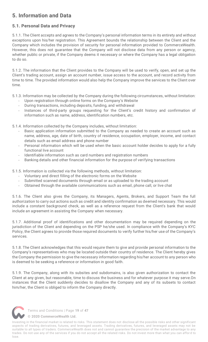# <span id="page-20-0"></span>**5. Information and Data**

# <span id="page-20-1"></span>**5.1. Personal Data and Privacy**

5.1.1. The Client accepts and agrees to the Company's personal information terms in its entirety and without exceptions upon his/her registration. This Agreement bounds the relationship between the Client and the Company which includes the provision of security for personal information provided to CommerceWealth. However, this does not guarantee that the Company will not disclose data from any person or agency, whether public or private, if the Company deems it necessary or where the Company has a legal obligation to do so.

5.1.2. The information that the Client provides to the Company will be used to verify, open, and set up the Client's trading account, assign an account number, issue access to the account, and record activity from time to time. The provided information would also help the Company improve the services to the Client over time.

- 5.1.3. Information may be collected by the Company during the following circumstances, without limitation:
	- Upon registration through online forms on the Company's Website
	- During transactions, including deposits, funding, and withdrawal
	- Instances of third-party groups requesting for the Client's credit history and confirmation of information such as name, address, identification numbers, etc.

5.1.4. Information collected by the Company includes, without limitation:

- Basic application information submitted to the Company as needed to create an account such as name, address, age, date of birth, country of residence, occupation, employer, income, and contact details such as email address and phone number
- Personal information which will be used when the basic account holder decides to apply for a fully functional live account
- Identifiable information such as card numbers and registration numbers
- Banking details and other financial information for the purpose of verifying transactions

5.1.5. Information is collected via the following methods, without limitation:

- Voluntary and direct filling of the electronic forms on the Website
- Submitted scanned documents through email or as uploaded to the trading account
- Obtained through the available communications such as email, phone call, or live chat

5.1.6. The Client also gives the Company, its Managers, Agents, Brokers, and Support Team the full authorization to carry out actions such as credit and identity confirmation as deemed necessary. This would include a constant background check, as well as a reference request from the Client's bank that would include an agreement in assisting the Company when necessary.

5.1.7. Additional proof of identifications and other documentation may be required depending on the jurisdiction of the Client and depending on the PSP he/she used. In compliance with the Company's KYC Policy, the Client agrees to provide those required documents to verify further his/her use of the Company's services.

5.1.8. The Client acknowledges that this would require them to give and provide personal information to the Company's representatives who may be located outside their country of residence. The Client hereby gives the Company the permission to give the necessary information regarding his/her account to any person who is deemed to be seeking a reference or information in good faith.

5.1.9. The Company, along with its subsites and subdomains, is also given authorization to contact the Client at any given, but reasonable, time to discuss the business and for whatever purpose it may serve.On instances that the Client suddenly decides to disallow the Company and any of its subsets to contact him/her, the Client is obliged to inform the Company directly.



Terms and Conditions | Page **19** of **47**

**[© 2020 CommerceWealth Ltd.](#page-1-0)**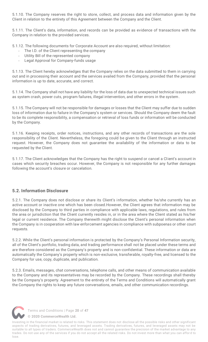5.1.10. The Company reserves the right to store, collect, and process data and information given by the Client in relation to the entirety of this Agreement between the Company and the Client.

5.1.11. The Client's data, information, and records can be provided as evidence of transactions with the Company in relation to the provided services.

5.1.12. The following documents for Corporate Account are also required, without limitation:

- The I.D. of the Client representing the company
- Utility Bill of the represented company
- Legal Approval for Company-funds usage

5.1.13. The Client hereby acknowledges that the Company relies on the data submitted to them in carrying out and in processing their account and the services availed from the Company, provided that the personal information is up to date, accurate, and correct.

5.1.14. The Company shall not have any liability for the loss of data due to unexpected technical issues such as system crash, power cuts, program failures, illegal intervention, and other errors in the system.

5.1.15. The Company will not be responsible for damages or losses that the Client may suffer due to sudden loss of information due to failure in the Company's system or services. Should the Company deem the fault to be its complete responsibility, a compensation or retrieval of loss funds or information will be conducted by the Company.

5.1.16. Keeping receipts, order notices, instructions, and any other records of transactions are the sole responsibility of the Client. Nevertheless, the foregoing could be given to the Client through an instructed request. However, the Company does not guarantee the availability of the information or data to be requested by the Client.

5.1.17. The Client acknowledges that the Company has the right to suspend or cancel a Client's account in cases which security breaches occur. However, the Company is not responsible for any further damages following the account's closure or cancelation.

### <span id="page-21-0"></span>**5.2. Information Disclosure**

5.2.1. The Company does not disclose or share its Client's information, whether he/she currently has an active account or inactive one which has been closed.However, the Client agrees that information may be disclosed by the Company to third parties in compliance with applicable laws, regulations, and rules from the area or jurisdiction that the Client currently resides in, or in the area where the Client stated as his/her legal or current residence. The Company therewith might disclose the Client's personal information when the Company is in cooperation with law enforcement agencies in compliance with subpoenas or other court requests.

5.2.2. While the Client's personal information is protected by the Company's Personal Information security, all of the Client's portfolio, trading data, and trading performance shall not be placed under these terms and are therefore considered as the Company's property and is non-confidential. These information or data are automatically the Company's property which is non-exclusive, transferable, royalty-free, and licensed to the Company for use, copy, duplicate, and publication.

5.2.3. Emails, messages, chat conversations, telephone calls, and other means of communication available to the Company and its representatives may be recorded by the Company. These recordings shall thereby be the Company's property. Agreement to the entirety of the Terms and Conditions will automatically grant the Company the rights to keep any future conversations, emails, and other communication recordings.



Terms and Conditions | Page **20** of **47**

**[© 2020 CommerceWealth Ltd.](#page-1-0)**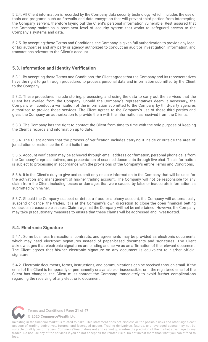5.2.4. All Client information is recorded by the Company data security technology, which includes the use of tools and programs such as firewalls and data encryption that will prevent third parties from intercepting the Company servers, therefore laying out the Client's personal information vulnerable. Rest assured that the Company maintains a prominent level of security system that works to safeguard access to the Company's systems and data.

5.2.5. By accepting these Terms and Conditions, the Company is given full authorization to provide any legal or tax authorities and any party or agency authorized to conduct an audit or investigation, information, and transactions relevant to the Client's account.

# <span id="page-22-0"></span>**5.3. Information and Identity Verification**

5.3.1. By accepting these Terms and Conditions, the Client agrees that the Company and its representatives have the right to go through procedures to process personal data and information submitted by the Client to the Company.

5.3.2. These procedures include storing, processing, and using the data to carry out the services that the Client has availed from the Company. Should the Company's representatives deem it necessary, the Company will conduct a verification of the information submitted to the Company by third-party agencies authorized to provide those services. The Client agrees to the Company's use of these third parties and gives the Company an authorization to provide them with the information as received from the Clients.

5.3.3. The Company has the right to contact the Client from time to time with the sole purpose of keeping the Client's records and information up to date.

5.3.4. The Client agrees that the process of verification includes carrying it inside or outside the area of jurisdiction or residence the Client hails from.

5.3.5. Account verification may be achieved through email address confirmation, personal phone calls from the Company's representatives, and presentation of scanned documents through live chat. This information is subject to processing in accordance with the provisions of the Company's entire Terms and Conditions.

5.3.6. It is the Client's duty to give and submit only reliable information to the Company that will be used for the activation and management of his/her trading account. The Company will not be responsible for any claim from the Client including losses or damages that were caused by false or inaccurate information as submitted by him/her.

5.3.7. Should the Company suspect or detect a fraud or a phony account, the Company will automatically suspend or cancel the trades. It is at the Company's own discretion to close the open financial betting contracts at reasonable causes. Claims against the Company will not be entertained. However, the Company may take precautionary measures to ensure that these claims will be addressed and investigated.

### <span id="page-22-1"></span>**5.4. Electronic Signature**

5.4.1. Some business transactions, contracts, and agreements may be provided as electronic documents which may need electronic signatures instead of paper-based documents and signatures. The Client acknowledges that electronic signatures are binding and serve as an affirmation of the relevant document. The Client agrees that his/her electronic signature on any document is equivalent to his/her official signature.

5.4.2. Electronic documents, forms, instructions, and communications can be received through email. If the email of the Client is temporarily or permanently unavailable or inaccessible, or if the registered email of the Client has changed, the Client must contact the Company immediately to avoid further complications regarding the receiving of any electronic document.



Terms and Conditions | Page **21** of **47**

**[© 2020 CommerceWealth Ltd.](#page-1-0)**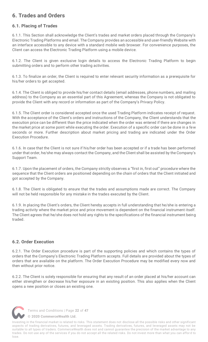# <span id="page-23-0"></span>**6. Trades and Orders**

# <span id="page-23-1"></span>**6.1. Placing of Trades**

6.1.1. This Section shall acknowledge the Client's trades and market orders placed through the Company's Electronic Trading Platforms and email. The Company provides an accessible and user-friendly Website with an interface accessible to any device with a standard mobile web browser. For convenience purposes, the Client can access the Electronic Trading Platform using a mobile device.

6.1.2. The Client is given exclusive login details to access the Electronic Trading Platform to begin submitting orders and to perform other trading activities.

6.1.3. To finalize an order, the Client is required to enter relevant security information as a prerequisite for his/her orders to get accepted.

6.1.4. The Client is obliged to provide his/her contact details (email addresses, phone numbers, and mailing address) to the Company as an essential part of this Agreement, whereas the Company is not obligated to provide the Client with any record or information as part of the Company's Privacy Policy.

6.1.5. The Client order is considered accepted once the used Trading Platform indicates receipt of request. With the acceptance of the Client's orders and instructions of the Company, the Client understands that the execution price can be different than the price indicated when the order was entered if there are changes in the market price at some point while executing the order. Execution of a specific order can be done in a few seconds or more. Further description about market pricing and trading are indicated under the Order Execution Procedure.

6.1.6. In case that the Client is not sure if his/her order has been accepted or if a trade has been performed under that order, he/she may always contact the Company, and the Client shall be assisted by the Company's Support Team.

6.1.7. Upon the placement of orders, the Company strictly observes a "first in, first out" procedure where the sequence that the Client orders are positioned depending on the chain of orders that the Client initiated and got accepted by the Company.

6.1.8. The Client is obligated to ensure that the trades and assumptions made are correct. The Company will not be held responsible for any mistake in the trades executed by the Client.

6.1.9. In placing the Client's orders, the Client hereby accepts in full understanding that he/she is entering a trading activity where the market price and price movement is dependent on the financial instrument itself. The Client agrees that he/she does not hold any rights to the specifications of the financial instrument being traded.

### <span id="page-23-2"></span>**6.2. Order Execution**

6.2.1. The Order Execution procedure is part of the supporting policies and which contains the types of orders that the Company's Electronic Trading Platform accepts. Full details are provided about the types of orders that are available on the platform. The Order Execution Procedure may be modified every now and then without prior notice.

6.2.2. The Client is solely responsible for ensuring that any result of an order placed at his/her account can either strengthen or decrease his/her exposure in an existing position. This also applies when the Client opens a new position or closes an existing one.



Terms and Conditions | Page **22** of **47**

**[© 2020 CommerceWealth Ltd.](#page-1-0)**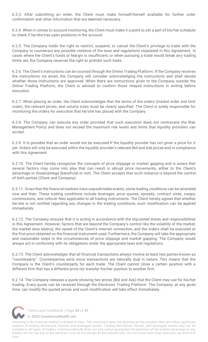6.2.3. After submitting an order, the Client must make himself/herself available for further order confirmation and other information that are deemed necessary.

6.2.4. When it comes to account monitoring, the Client must make it a point to set a part of his/her schedule to check if he/she has open positions in the account.

6.2.5. The Company holds the right to restrict, suspend, or cancel the Client's privilege to trade with the Company to counteract any possible violation of the laws and regulations stipulated in this Agreement. In cases where the Client's funds or Margin is insufficient, or when pursuing a trade would break any trading limits set, the Company reserves the right to prohibit such trade.

6.2.6. The Client's instructions can be coursed through the Online Trading Platform. If the Company receives the instructions via email, the Company will consider acknowledging the instructions and shall decide whether those instructions are approved. When there are instructions given to the Company outside the Online Trading Platform, the Client is advised to confirm those relayed instructions in writing before execution.

6.2.7. When placing an order, the Client acknowledges that the terms of the orders (market order and limit order), the relevant prices, and volume sizes must be clearly specified. The Client is solely responsible for monitoring the orders for execution that he/she has placed with the Company.

6.2.8. The Company can execute any order provided that such execution does not contravene the Risk Management Policy and does not exceed the maximum risk levels and limits that liquidity providers can accept.

6.2.9. It is possible that an order would not be executed if the liquidity provider has not given a price for it yet. Orders will only be executed within the liquidity provider's relevant Bid and Ask prices and in compliance with this Agreement.

6.2.10. The Client hereby recognizes the concepts of price slippage or market gapping and is aware that several factors may come into play that can result in abrupt price movements, either to the Client's advantage or disadvantage (beneficial or not). The Client accepts that such instance is beyond the control of both parties (Client and Company).

6.2.11. Given that the financial markets have unpredictable events, some trading conditions can be amended now and then. These trading conditions include leverages, price quotes, spreads, contract sizes, swaps, commissions, and rollover fees applicable to all trading instruments. The Client hereby agrees that whether he/she is not notified regarding any changes in the trading conditions, such modification can be applied immediately.

6.2.12. The Company ensures that it is acting in accordance with the stipulated duties and responsibilities in this Agreement. However, factors that are beyond the Company's control like the volatility of the market, the market data latency, the speed of the Client's internet connection, and the orders shall be executed at the first price obtained on the financial instrument used. Furthermore, the Company will take the appropriate and reasonable steps in the circumstances of price slippage and market gapping. The Company would always act in conformity with its obligations under the appropriate laws and regulations.

6.2.13. The Client acknowledges that all financial transactions always involve at least two parties known as "counterparty". Counterparties exist since transactions are naturally dual in nature. This means that the Company is the Client's counterparty for each trade. The Client cannot close a certain position with a different firm that has a different price nor transfer his/her position to another firm.

6.2.14. The Company releases a quote showing two prices (Bid and Ask) that the Client may use for his/her trading. Every quote can be received through the Electronic Trading Platform. The Company, at any given time, can modify the quoted prices and such modification will take effect immediately.



Terms and Conditions | Page **23** of **47**

**[© 2020 CommerceWealth Ltd.](#page-1-0)**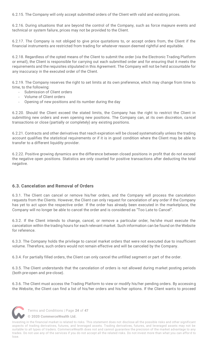6.2.15. The Company will only accept submitted orders of the Client with valid and existing prices.

6.2.16. During situations that are beyond the control of the Company, such as force majeure events and technical or system failure, prices may not be provided to the Client.

6.2.17. The Company is not obliged to give price quotations to, or accept orders from, the Client if the financial instruments are restricted from trading for whatever reason deemed rightful and equitable.

6.2.18. Regardless of the opted means of the Client to submit the order (via the Electronic Trading Platform or email), the Client is responsible for carrying out each submitted order and for ensuring that it meets the requirements and the requisites stipulated in this Agreement. The Company will not be held accountable for any inaccuracy in the executed order of the Client.

6.2.19. The Company reserves the right to set limits at its own preference, which may change from time to time, to the following:

- Submission of Client orders
- Volume of Client orders
- Opening of new positions and its number during the day

6.2.20. Should the Client exceed the stated limits, the Company has the right to restrict the Client in submitting new orders and even opening new positions. The Company can, at its own discretion, cancel transactions or close (partially or completely) any existing positions.

6.2.21. Contracts and other derivatives that reach expiration will be closed systematically unless the trading account qualifies the statistical requirements or if it is in good condition where the Client may be able to transfer to a different liquidity provider.

6.2.22. Positive growing dynamics are the difference between closed positions in profit that do not exceed the negative open positions. Statistics are only counted for positive transactions after deducting the total negative.

### <span id="page-25-0"></span>**6.3. Cancelation and Removal of Orders**

6.3.1. The Client can cancel or remove his/her orders, and the Company will process the cancelation requests from the Clients. However, the Client can only request for cancelation of any order if the Company has yet to act upon the respective order. If the order has already been executed in the marketplace, the Company will no longer be able to cancel the order and is considered as "Too Late to Cancel".

6.3.2. If the Client intends to change, cancel, or remove a particular order, he/she must execute the cancelation within the trading hours for each relevant market. Such information can be found on the Website for reference.

6.3.3. The Company holds the privilege to cancel market orders that were not executed due to insufficient volume. Therefore, such orders would not remain effective and will be canceled by the Company.

6.3.4. For partially filled orders, the Client can only cancel the unfilled segment or part of the order.

6.3.5. The Client understands that the cancelation of orders is not allowed during market posting periods (both pre-open and pre-close).

6.3.6. The Client must access the Trading Platform to view or modify his/her pending orders. By accessing the Website, the Client can find a list of his/her orders and his/her options. If the Client wants to proceed



Terms and Conditions | Page **24** of **47**

**[© 2020 CommerceWealth Ltd.](#page-1-0)**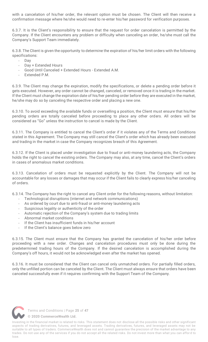with a cancelation of his/her order, the relevant option must be chosen. The Client will then receive a confirmation message where he/she would need to re-enter his/her password for verification purposes.

6.3.7. It is the Client's responsibility to ensure that the request for order cancelation is permitted by the Company. If the Client encounters any problem or difficulty when canceling an order, he/she must call the Company's Support Team immediately.

6.3.8. The Client is given the opportunity to determine the expiration of his/her limit orders with the following specifications:

- Day
- Day + Extended Hours
- Good Until Canceled + Extended Hours Extended A.M.
- Extended P.M.

6.3.9. The Client may change the expiration, modify the specifications, or delete a pending order before it gets executed. However, any order cannot be changed, canceled, or removed once it is trading in the market. If the Client must change the expiration date of his/her pending order before they are executed in the market, he/she may do so by canceling the respective order and placing a new one.

6.3.10. To avoid exceeding the available funds or overselling a position, the Client must ensure that his/her pending orders are totally canceled before proceeding to place any other orders. All orders will be considered as "Go" unless the instruction to cancel is made by the Client.

6.3.11. The Company is entitled to cancel the Client's order if it violates any of the Terms and Conditions stated in this Agreement. The Company may still cancel the Client's order which has already been executed and trading in the market in case the Company recognizes breach of this Agreement.

6.3.12. If the Client is placed under investigation due to fraud or anti-money laundering acts, the Company holds the right to cancel the existing orders. The Company may also, at any time, cancel the Client's orders in cases of anomalous market conditions.

6.3.13. Cancelation of orders must be requested explicitly by the Client. The Company will not be accountable for any losses or damages that may occur if the Client fails to clearly express his/her canceling of orders.

6.3.14. The Company has the right to cancel any Client order for the following reasons, without limitation:

- Technological disruptions (internet and network communications)
- As ordered by court due to anti-fraud or anti-money laundering acts
- Suspicious legality or authenticity of the order
- Automatic rejection of the Company's system due to trading limits
- Abnormal market conditions
- If the Client has insufficient funds in his/her account
- If the Client's balance goes below zero

6.3.15. The Client must ensure that the Company has granted the cancelation of his/her order before proceeding with a new order. Changes and cancelation procedures must only be done during the predetermined trading hours of the Company. If the desired cancelation is accomplished during the Company's off hours, it would not be acknowledged even after the market has opened.

6.3.16. It must be considered that the Client can cancel only unmatched orders. For partially filled orders, only the unfilled portion can be canceled by the Client. The Client must always ensure that orders have been canceled successfully even if it requires confirming with the Support Team of the Company.



Terms and Conditions | Page **25** of **47**

**[© 2020 CommerceWealth Ltd.](#page-1-0)**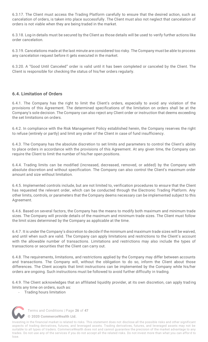6.3.17. The Client must access the Trading Platform carefully to ensure that the desired action, such as cancelation of orders, is taken into place successfully. The Client must also not neglect that cancelation of orders is not viable when they are being traded in the market.

6.3.18. Log-in details must be secured by the Client as those details will be used to verify further actions like order cancelation.

6.3.19. Cancelations made at the last minute are considered too risky. The Company must be able to process any cancelation request before it gets executed in the market.

6.3.20. A "Good Until Canceled" order is valid until it has been completed or canceled by the Client. The Client is responsible for checking the status of his/her orders regularly.

### <span id="page-27-0"></span>**6.4. Limitation of Orders**

6.4.1. The Company has the right to limit the Client's orders, especially to avoid any violation of the provisions of this Agreement. The determined specifications of the limitation on orders shall be at the Company's sole decision. The Company can also reject any Client order or instruction that deems exceeding the set limitations on orders.

6.4.2. In compliance with the Risk Management Policy established herein, the Company reserves the right to refuse (entirely or partly) and limit any order of the Client in case of fund insufficiency.

6.4.3. The Company has the absolute discretion to set limits and parameters to control the Client's ability to place orders in accordance with the provisions of this Agreement. At any given time, the Company can require the Client to limit the number of his/her open positions.

6.4.4. Trading limits can be modified (increased, decreased, removed, or added) by the Company with absolute discretion and without specification. The Company can also control the Client's maximum order amount and size without limitation.

6.4.5. Implemented controls include, but are not limited to, verification procedures to ensure that the Client has requested the relevant order, which can be conducted through the Electronic Trading Platform. Any other limits, controls, or parameters that the Company deems necessary can be implemented subject to this Agreement.

6.4.6. Based on several factors, the Company has the means to modify both maximum and minimum trade sizes. The Company will provide details of the maximum and minimum trade sizes. The Client must follow the limit sizes determined by the Company as applicable at the time.

6.4.7. It is under the Company's discretion to decide if the minimum and maximum trade sizes will be waived, and until when such are valid. The Company can apply limitations and restrictions to the Client's account with the allowable number of transactions. Limitations and restrictions may also include the types of transactions or securities that the Client can carry out.

6.4.8. The requirements, limitations, and restrictions applied by the Company may differ between accounts and transactions. The Company will, without the obligation to do so, inform the Client about those differences. The Client accepts that limit instructions can be implemented by the Company while his/her orders are ongoing. Such instructions must be followed to avoid further difficulty in trading.

6.4.9. The Client acknowledges that an affiliated liquidity provider, at its own discretion, can apply trading limits any time on orders, such as:

- Trading hours limitation



Terms and Conditions | Page **26** of **47**

**[© 2020 CommerceWealth Ltd.](#page-1-0)**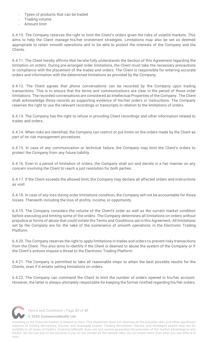- Types of products that can be traded
- Trading volume
- Amount limit

6.4.10. The Company reserves the right to limit the Client's orders given the risks of volatile markets. This aims to help the Client manage his/her investment strategies. Limitations may also be set as deemed appropriate to retain smooth operations and to be able to protect the interests of the Company and the Clients.

6.4.11. The Client hereby affirms that he/she fully understands the Section of this Agreement regarding the limitation on orders. During pre-arranged order limitations, the Client must take the necessary precautions in compliance with the placement of the trades and orders. The Client is responsible for entering accurate orders and information with the determined limitations as provided by the Company.

6.4.12. The Client agrees that phone conversations can be recorded by the Company upon trading transactions. This is to ensure that the terms and communications are clear in the period of those order limitations. The recorded conversations are considered as Intellectual Properties of the Company. The Client shall acknowledge those records as supporting evidence of his/her orders or instructions. The Company reserves the right to use the relevant recordings or transcripts in relation to the limitations of orders.

6.4.13. The Company has the right to refuse in providing Client recordings and other information related to trades and orders.

6.4.14. When risks are identified, the Company can restrict or put limits on the orders made by the Client as part of its risk management procedures.

6.4.15. In case of any communication or technical failure, the Company may limit the Client's orders to protect the Company from any future liability.

6.4.16. Even in a period of limitation of orders, the Company shall act and decide in a fair manner on any concern involving the Client to reach a just resolution for both parties.

6.4.17. If the Client exceeds the allowed limit, the Company may declare all affected orders and instructions as void.

6.4.18. In case of any loss during order limitations condition, the Company will not be accountable for those losses. Therewith including the loss of profits, income, or opportunity.

6.4.19. The Company considers the volume of the Client's order as well as the current market condition before executing and limiting some of the orders. The Company determines all limitations on orders without prejudice or forms of abuse that could violate the Terms and Conditions set in this Agreement. All limitations set by the Company are for the sake of the sustenance of smooth operations in the Electronic Trading Platform.

6.4.20. The Company reserves the right to apply limitations in trades and orders to prevent risky transactions from the Client. This also aims to identify if the Client is deemed to abuse the system of the Company or if the Client's actions impose a threat to the Electronic Trading Platform.

6.4.21. The Company is permitted to take all reasonable steps to attain the best possible results for the Clients, even if it entails setting limitations on orders.

6.4.22. The Company can command the Client to limit the number of orders opened in his/her account. However, the latter is always ultimately responsible for keeping the former notified regarding his/her orders.



Terms and Conditions | Page **27** of **47**

**[© 2020 CommerceWealth Ltd.](#page-1-0)**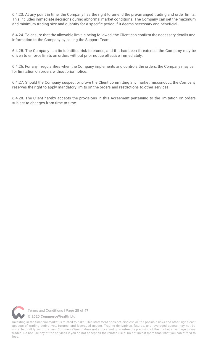6.4.23. At any point in time, the Company has the right to amend the pre-arranged trading and order limits. This includes immediate decisions during abnormal market conditions. The Company can set the maximum and minimum trading size and quantity for a specific period if it deems necessary and beneficial.

6.4.24. To ensure that the allowable limit is being followed, the Client can confirm the necessary details and information to the Company by calling the Support Team.

6.4.25. The Company has its identified risk tolerance, and if it has been threatened, the Company may be driven to enforce limits on orders without prior notice effective immediately.

6.4.26. For any irregularities when the Company implements and controls the orders, the Company may call for limitation on orders without prior notice.

6.4.27. Should the Company suspect or prove the Client committing any market misconduct, the Company reserves the right to apply mandatory limits on the orders and restrictions to other services.

6.4.28. The Client hereby accepts the provisions in this Agreement pertaining to the limitation on orders subject to changes from time to time.

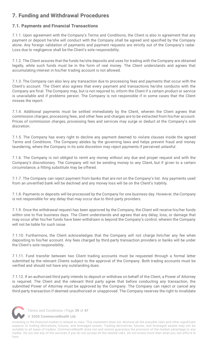# <span id="page-30-0"></span>**7. Funding and Withdrawal Procedures**

# <span id="page-30-1"></span>**7.1. Payments and Financial Transactions**

7.1.1. Upon agreement with the Company's Terms and Conditions, the Client is also in agreement that any payment or deposit he/she will conduct with the Company shall be agreed and specified by the Company alone. Any foreign validation of payments and payment requests are strictly out of the Company's radar. Loss due to negligence shall be the Client's sole responsibility.

7.1.2. The Client assures that the funds he/she deposits and uses for trading with the Company are obtained legally, while such funds must be in the form of real money. The Client understands and agrees that accumulating interest in his/her trading account is not allowed.

7.1.3. The Company can also levy any transaction due to processing fees and payments that occur with the Client's account. The Client also agrees that every payment and transactions he/she conducts with the Company are final. The Company may, but is not required to, inform the Client if a certain product or service is unavailable and if problems persist. The Company is not responsible if in some cases that the Client misses the report.

7.1.4. Additional payments must be settled immediately by the Client, wherein the Client agrees that commission charges, processing fees, and other fees and charges are to be extracted from his/her account. Prices of commission charges, processing fees and services may surge or deduct at the Company's sole discretion.

7.1.5. The Company has every right to decline any payment deemed to violate clauses inside the agreed Terms and Conditions. The Company abides by the governing laws and helps prevent fraud and money laundering, where the Company in its sole discretion may reject payments if perceived unlawful.

7.1.6. The Company is not obliged to remit any money without any due and proper request and with the Company's discretionary. The Company will not be sending money to any Client, but if given to a certain circumstance, a fitting substitute may be offered.

7.1.7. The Company can reject payment from banks that are not on the Company's list. Any payments used from an unverified bank will be declined and any money loss will be on the Client's liability.

7.1.8. Payments or deposits will be processed by the Company for one business day. However, the Company is not responsible for any delay that may occur due to third-party providers.

7.1.9. Once the withdrawal request has been approved by the Company, the Client will receive his/her funds within one to five business days. The Client understands and agrees that any delay, loss, or damage that may occur after his/her funds have been withdrawn is beyond the Company's control, wherein the Company will not be liable for such issue.

7.1.10. Furthermore, the Client acknowledges that the Company will not charge him/her any fee when depositing to his/her account. Any fees charged by third-party transaction providers or banks will be under the Client's sole responsibility.

7.1.11. Fund transfer between two Client trading accounts must be requested through a formal letter submitted by the relevant Clients subject to the approval of the Company. Both trading accounts must be verified and should not have any outstanding dues.

7.1.12. If an authorized third party intends to deposit or withdraw on behalf of the Client, a Power of Attorney is required. The Client and the relevant third party agree that before conducting any transaction, the submitted Power of Attorney must be approved by the Company. The Company can reject or cancel any third-party transaction if deemed unauthorized or unapproved. The Company reserves the right to invalidate



Terms and Conditions | Page **29** of **47**

**[© 2020 CommerceWealth Ltd.](#page-1-0)**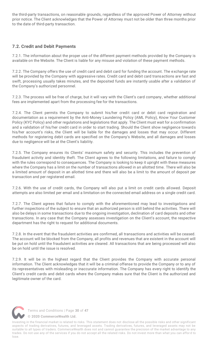the third-party transactions, on reasonable grounds, regardless of the approved Power of Attorney without prior notice. The Client acknowledges that the Power of Attorney must not be older than three months prior to the date of third-party transaction.

# <span id="page-31-0"></span>**7.2. Credit and Debit Payments**

7.2.1. The information about the proper use of the different payment methods provided by the Company is available on the Website. The Client is liable for any misuse and violation of these payment methods.

7.2.2. The Company offers the use of credit card and debit card for funding the account. The exchange rate will be provided by the Company with aggressive rates. Credit card and debit card transactions are fast and swift, processing usually takes minutes, and the deposited funds are instantly usable after a validation of the Company's authorized personnel.

7.2.3. The process will be free of charge, but it will vary with the Client's card company , whether additional fees are implemented apart from the processing fee for the transactions.

7.2.4. The Client permits the Company to submit his/her credit card or debit card registration and documentation as a requirement by the Anti-Money Laundering Policy (AML Policy), Know Your Customer Policy (KYC Policy) and other regulations and legislations that apply. The Client must wait for a confirmation and a validation of his/her credit card in order to start trading. Should the Client show negligence towards his/her account's risks, the Client will be liable for the damages and losses that may occur. Different methods for registering debit cards are specified on the Company's Website, and all damages and losses due to negligence will be at the Client's liability.

7.2.5. The Company ensures its Clients' maximum safety and security. This includes the prevention of fraudulent activity and identity theft. The Client agrees to the following limitations, and failure to comply with the rules correspond to consequences. The Company is looking to keep it upright with these measures where the Company has a limit on the number of transactions allowed in an allotted time. There will also be a limited amount of deposit in an allotted time and there will also be a limit to the amount of deposit per transaction and per registered email.

7.2.6. With the use of credit cards, the Company will also put a limit on credit cards allowed. Deposit attempts are also limited per email and a limitation on the connected email address on a single credit card.

7.2.7. The Client agrees that failure to comply with the aforementioned may lead to investigations and further inspections of the subject to ensure that an authorized person is still behind the activities. There will also be delays in some transactions due to the ongoing investigation, declination of card deposits and other transactions. In any case that the Company assesses investigation on the Client's account, the respective department has the right to request for additional documents.

7.2.8. In the event that the fraudulent activities are confirmed, all transactions and activities will be ceased. The account will be blocked from the Company, all profits and revenues that are existent in the account will be put on hold until the fraudulent activities are cleared. All transactions that are being processed will also be on hold until the issue is resolved.

7.2.9. It will be in the highest regard that the Client provides the Company with accurate personal information. The Client acknowledges that it will be a criminal offense to provide the Company or to any of its representatives with misleading or inaccurate information. The Company has every right to identify the Client's credit cards and debit cards where the Company makes sure that the Client is the authorized and legitimate owner of the card.



Terms and Conditions | Page **30** of **47**

**[© 2020 CommerceWealth Ltd.](#page-1-0)**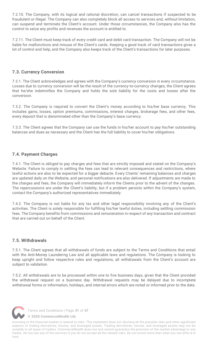7.2.10. The Company, with its logical and rational discretion, can cancel transactions if suspected to be fraudulent or illegal. The Company can also completely block all access to services and, without limitation, can suspend and terminate the Client's account. Under those circumstances, the Company also has the control to seize any profits and revenues the account is entitled to.

7.2.11. The Client must keep track of every credit card and debit card transaction. The Company will not be liable for malfunctions and misuse of the Client's cards. Keeping a good track of card transactions gives a lot of control and help, and the Company also keeps track of the Client's transactions for later purposes.

# <span id="page-32-0"></span>**7.3. Currency Conversion**

7.3.1. The Client acknowledges and agrees with the Company's currency conversion in every circumstance. Losses due to currency conversion will be the result of the currency-to-currency changes, the Client agrees that he/she indemnifies the Company and holds the sole liability for the costs and losses after the conversion.

7.3.2. The Company is required to convert the Client's money according to his/her base currency. This includes gains, losses, option premiums, commissions, interest charges, brokerage fees, and other fees, every deposit that is denominated other than the Company's base currency.

7.3.3. The Client agrees that the Company can use the funds in his/her account to pay his/her outstanding balances and dues as necessary and the Client has the full liability to cover his/her obligations.

# <span id="page-32-1"></span>**7.4. Payment Charges**

7.4.1. The Client is obliged to pay charges and fees that are strictly imposed and stated on the Company's Website. Failure to comply in settling the fees can lead to relevant consequences and restrictions, where lawful actions are also to be expected for a bigger debacle. Every Clients' remaining balances and charges are updated daily on the Website, and personal notifications are also delivered. If adjustments are made to the charges and fees, the Company will immediately inform the Clients prior to the advent of the changes. The repercussions are under the Client's liability, but if a problem persists within the Company's system, contact the Company's authorized representatives immediately.

7.4.2. The Company is not liable for any tax and other legal responsibility involving any of the Client's activities. The Client is solely responsible for fulfilling his/her lawful duties, including settling commission fees. The Company benefits from commissions and remuneration in respect of any transaction and contract that are carried out on behalf of the Client.

### <span id="page-32-2"></span>**7.5. Withdrawals**

7.5.1. The Client agrees that all withdrawals of funds are subject to the Terms and Conditions that entail with the Anti-Money Laundering Law and all applicable laws and regulations. The Company is looking to keep upright and follow respective rules and regulations, all withdrawals from the Client's account are subject to validation.

7.5.2. All withdrawals are to be processed within one to five business days, given that the Client provided the withdrawal request on a business day. Withdrawal requests may be delayed due to incomplete withdrawal forms or information, holidays, and internal errors which are noted or informed prior to the date.



Terms and Conditions | Page **31** of **47**

**[© 2020 CommerceWealth Ltd.](#page-1-0)**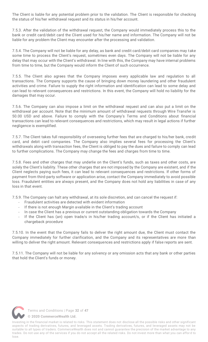The Client is liable for any potential problem prior to the validation. The Client is responsible for checking the status of his/her withdrawal request and its status in his/her account.

7.5.3. After the validation of the withdrawal request, the Company would immediately process this to the bank or credit card/debit card the Client used for his/her name and information. The Company will not be liable for any problem the Client may encounter after the processing and validation.

7.5.4. The Company will not be liable for any delay, as bank and credit card/debit card companies may take some time to process the Client's request, sometimes even days. The Company will not be liable for any delay that may occur with the Client's withdrawal. In line with this, the Company may have internal problems from time to time, but the Company would inform the Client of such occurrence.

7.5.5. The Client also agrees that the Company imposes every applicable law and regulation to all transactions. The Company supports the cause of bringing down money laundering and other fraudulent activities and crime. Failure to supply the right information and identification can lead to some delay and can lead to relevant consequences and restrictions. In this event, the Company will hold no liability for the damages that may occur.

7.5.6. The Company can also impose a limit on the withdrawal request and can also put a limit on the withdrawal per account. Note that the minimum amount of withdrawal requests through Wire Transfer is 50.00 USD and above. Failure to comply with the Company's Terms and Conditions about financial transactions can lead to relevant consequences and restrictions, which may result in legal actions if further negligence is exemplified.

7.5.7. The Client takes full responsibility of overseeing further fees that are charged to his/her bank, credit card, and debit card companies. The Company also implies several fees for processing the Client's withdrawals along with transaction fees, the Client is obliged to pay the dues and failure to comply can lead to further complications. The Company may change the fees and charges from time to time.

7.5.8. Fees and other charges that may underlie on the Client's funds, such as taxes and other costs, are solely the Client's liability. These other charges that are not imposed by the Company are existent, and if the Client neglects paying such fees, it can lead to relevant consequences and restrictions. If other forms of payment from third-party software or application arise, contact the Company immediately to avoid possible loss. Fraudulent entities are always present, and the Company does not hold any liabilities in case of any loss in that event.

7.5.9. The Company can halt any withdrawal, at its sole discretion, and can cancel the request if:

- Fraudulent activities are detected with evident information
- If there is not enough Margin available in the Client's trading account
- In case the Client has a previous or current outstanding obligation towards the Company
- If the Client has (an) open trade/s in his/her trading account/s, or if the Client has initiated a chargeback procedure

7.5.10. In the event that the Company fails to deliver the right amount due, the Client must contact the Company immediately for further clarification, and the Company and its representatives are more than willing to deliver the right amount. Relevant consequences and restrictions apply if false reports are sent.

7.5.11. The Company will not be liable for any solvency or any omission acts that any bank or other parties that hold the Client's funds or money.



Terms and Conditions | Page **32** of **47**

**[© 2020 CommerceWealth Ltd.](#page-1-0)**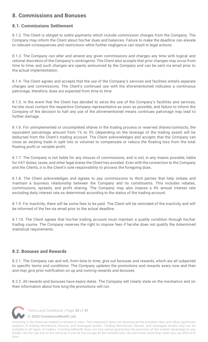# <span id="page-34-0"></span>**8. Commissions and Bonuses**

# <span id="page-34-1"></span>**8.1. Commissions Settlement**

8.1.2. The Client is obliged to settle payments which include commission charges from the Company. The Company may inform the Client about his/her dues and balances. Failure to make the deadline can elevate to relevant consequences and restrictions while further negligence can result in legal actions.

8.1.3. The Company can alter and amend any given commissions and charges any time with logical and rational discretion of the Company's contingents. The Client also accepts that prior changes may occur from time to time, and such changes are openly announced by the Company and can be sent via email prior to the actual implementation.

8.1.4. The Client agrees and accepts that the use of the Company's services and facilities entails separate charges and commissions. The Client's continued use with the aforementioned indicates a continuous patronage, therefore, dues are expected from time to time.

8.1.5. In the event that the Client has decided to seize the use of the Company's facilities and services, he/she must contact the respective Company representative as soon as possible, and failure to inform the Company of the decision to halt any use of the aforementioned means continues patronage may lead to further damage.

8.1.6. For unimplemented or uncompleted shares in the trading process or reserved shares/contracts, the equivalent percentage amount from 1% to 5% (depending on the leverage of the trading asset) will be deducted from the Client's trading account. The Client acknowledges and accepts that the Company can close an existing trade in split lots or volumes to compensate or reduce the floating loss from the total floating profit or variable profit.

8.1.7. The Company is not liable for any misuse of commissions, and is not, in any means possible, liable for VAT duties, taxes, and other legal duties the Client has avoided. Even with the connection to the Company and the Clients, it is the Client's sole responsibility to process the foregoing dues.

8.1.8. The Client acknowledges and agrees to pay commissions to third parties that help initiate and maintain a business relationship between the Company and its constituents. This includes rebates, commissions, spreads, and profit sharing. The Company may also impose a 4% annual interest rate excluding daily interest rate as determined according to the status of the trading account.

8.1.9. For inactivity, there will be some fees to be paid. The Client will be reminded of the inactivity and will be informed of the fee via email prior to the actual deadline.

8.1.10. The Client agrees that his/her trading account must maintain a quality condition through his/her trading course. The Company reserves the right to impose fees if he/she does not qualify the determined statistical requirements.

# <span id="page-34-2"></span>**8.2. Bonuses and Rewards**

8.2.1. The Company can and will, from time to time, give out bonuses and rewards, which are all subjected to specific terms and conditions. The Company updates the promotions and rewards every now and then and may give prior notification on up and coming rewards and bonuses.

8.2.2. All rewards and bonuses have expiry dates. The Company will clearly state on the mechanics and on their information about how long the promotions will run.



Terms and Conditions | Page **33** of **47**

**[© 2020 CommerceWealth Ltd.](#page-1-0)**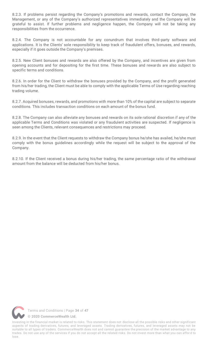8.2.3. If problems persist regarding the Company's promotions and rewards, contact the Company, the Management, or any of the Company's authorized representatives immediately and the Company will be grateful to assist. If further problems and negligence happen, the Company will not be taking any responsibilities from the occurrence.

8.2.4. The Company is not accountable for any conundrum that involves third-party software and applications. It is the Clients' sole responsibility to keep track of fraudulent offers, bonuses, and rewards, especially if it goes outside the Company's premises.

8.2.5. New Client bonuses and rewards are also offered by the Company, and incentives are given from opening accounts and for depositing for the first time. These bonuses and rewards are also subject to specific terms and conditions.

8.2.6. In order for the Client to withdraw the bonuses provided by the Company, and the profit generated from his/her trading, the Client must be able to comply with the applicable Terms of Use regarding reaching trading volume.

8.2.7. Acquired bonuses, rewards, and promotions with more than 10% of the capital are subject to separate conditions. This includes transaction conditions on each amount of the bonus fund.

8.2.8. The Company can also alleviate any bonuses and rewards on its sole rational discretion if any of the applicable Terms and Conditions was violated or any fraudulent activities are suspected. If negligence is seen among the Clients, relevant consequences and restrictions may proceed.

8.2.9. In the event that the Client requests to withdraw the Company bonus he/she has availed, he/she must comply with the bonus guidelines accordingly while the request will be subject to the approval of the Company.

8.2.10. If the Client received a bonus during his/her trading, the same percentage ratio of the withdrawal amount from the balance will be deducted from his/her bonus.

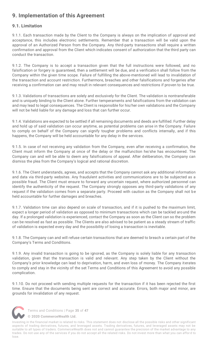# <span id="page-36-0"></span>**9. Implementation of this Agreement**

# <span id="page-36-1"></span>**9.1. Limitation**

9.1.1. Each transaction made by the Client to the Company is always on the implication of approval and acceptance, this includes electronic settlements. Remember that a transaction will be valid upon the approval of an Authorized Person from the Company. Any third-party transactions shall require a written confirmation and approval from the Client which indicates consent of authorization that the third party can conduct the transaction.

9.1.2. The Company is to accept a transaction given that the full instructions were followed, and no falsification or forgery is guaranteed, then a settlement will be due, and a verification shall follow from the Company within the given time scope. Failure of fulfilling the above-mentioned will lead to invalidation of the transaction and account restriction. Furthermore, breaches and other falsifications and forgeries after receiving a confirmation can and may result in relevant consequences and restrictions if proven to be true.

9.1.3. Validations of transactions are solely and exclusively for the Client. The validation is nontransferable and is uniquely binding to the Client alone. Further temperaments and falsifications from the validation can and may lead to legal consequences. The Client is responsible for his/her own validations and the Company will not be held liable for any damage and loss that can further occur.

9.1.4. Validations are expected to be settled if all remaining documents and deeds are fulfilled. Further delay and hold up of said validation can occur anytime, as potential problems can arise in the Company. Failure to comply on behalf of the Company can signify tougher problems and conflicts internally, and if this happens, the Company will be held accountable for any delay in the services.

9.1.5. In case of not receiving any validation from the Company, even after receiving a confirmation, the Client must inform the Company at once of the delay or the malfunction he/she has encountered. The Company can and will be able to deem any falsifications of appeal. After deliberation, the Company can dismiss the plea from the Company's logical and rational discretion.

9.1.6. The Client understands, agrees, and accepts that the Company cannot ask any additional information and data via third-party websites. Any fraudulent activities and communications are to be subjected as a possible fraud. The Client must ensure to forward any uncertain request, where authorized personnel can identify the authenticity of the request. The Company strongly opposes any third-party validations of any request if the validation comes from a separate party. Proceed with caution as the Company shall not be held accountable for further damages and breaches.

9.1.7. Validation time can also depend on scale of transaction, and if it is pushed to the maximum limit, expect a longer period of validation as opposed to minimum transactions which can be tackled aro und the day. If a prolonged validation is experienced, contact the Company as soon as the Client can so the problem can be resolved as fast as possible. The Clients are also advised to be patient as a steady stream of traffic of validation is expected every day and the possibility of losing a transaction is inevitable.

9.1.8. The Company can and will refuse certain transactions that are deemed to breach a certain part of the Company's Terms and Conditions.

9.1.9. Any invalid transaction is going to be ignored, as the Company is solely liable for any transaction validation, given that the transaction is valid and relevant. Any step taken by the Client without the Company's prior knowledge can lead to deprivation, harm, and even loss of money. The Company iterates to comply and stay in the vicinity of the set Terms and Conditions of this Agreement to avoid any possible complication.

9.1.10. Do not proceed with sending multiple requests for the transaction if it has been rejected the first time. Ensure that the documents being sent are correct and accurate. Errors, both major and minor, are grounds for invalidation of any request.



Terms and Conditions | Page **35** of **47**

**[© 2020 CommerceWealth Ltd.](#page-1-0)**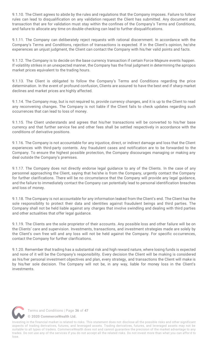9.1.10. The Client agrees to abide by the rules and regulations that the Company imposes. Failure to follow rules can lead to disqualification on any validation request the Client has submitted. Any document and transaction that are for validation must stay within the confines of the Company's Terms and Conditions, and failure to allocate any time on double-checking can lead to further disqualifications.

9.1.11. The Company can deliberately reject requests with rational discernment. In accordance with the Company's Terms and Conditions, rejection of transactions is expected. If in the Client's opinion, he/she experiences an unjust judgment, the Client can contact the Company with his/her valid points and facts.

9.1.12. The Company is to decide on the base currency transaction if certain Force Majeure events happen. If volatility strikes in an unexpected manner, the Company has the final judgment in determining the apropos market prices equivalent to the trading hours.

9.1.13. The Client is obligated to follow the Company's Terms and Conditions regarding the price determination. In the event of profound confusion, Clients are assured to have the best end if sharp market declines and market prices are highly affected.

9.1.14. The Company may, but is not required to, provide currency changes, and it is up to the Client to read any reconvening changes. The Company is not liable if the Client fails to check updates regarding such occurrences that can lead to loss of money.

9.1.15. The Client understands and agrees that his/her transactions will be converted to his/her base currency and that further service fee and other fees shall be settled respectively in accordance with the conditions of derivative positions.

9.1.16. The Company is not accountable for any injustice, direct, or indirect damage and loss that the Client experiences with third-party contents. Any fraudulent cases and notification are to be forwarded to the Company. To ensure the highest possible protection, the Company discourages managing or making any deal outside the Company's premises.

9.1.17. The Company does not directly endorse legal guidance to any of the Clients. In the case of any personnel approaching the Client, saying that he/she is from the Company, urgently contact the Company for further clarifications. There will be no circumstance that the Company will provide any legal guidance, and the failure to immediately contact the Company can potentially lead to personal identification breaches and loss of money.

9.1.18. The Company is not accountable for any information leaked from the Client's end. The Client has the sole responsibility to protect their data and identities against fraudulent beings and third parties. The Company shall not be held liable against any charges that involve swindling and dealing with third parties and other actualities that offer legal guidance.

9.1.19. The Clients are the sole proprietor of their accounts. Any possible loss and other failure will be on the Clients' care and supervision. Investments, transactions, and investment strategies made are solely by the Client's own free will and any loss will not be held against the Company. For specific occurrences, contact the Company for further clarifications.

9.1.20. Remember that trading has a substantial risk and high reward nature, where losing funds is expected and none of it will be the Company's responsibility. Every decision the Client will be making is considered as his/her personal investment objectives and plan, every strategy, and transactions the Client will make is by his/her sole decision. The Company will not be, in any way, liable for money loss in the Client's investments.

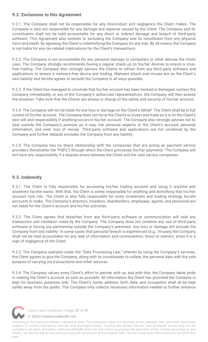# <span id="page-38-0"></span>**9.2. Exclusions to this Agreement**

9.2.1. The Company shall not be responsible for any misconduct and negligence the Client makes. The Company is also not responsible for any damage and expense caused by the Client. The Company and its constituents shall not be held accountable for any direct or indirect damage and breach of third-party software. This Agreement also extends to excluding the Company and its constituent from any physical harm and death. By agreeing, the Client is indemnifying the Company for any loss. By all means, the Company is not liable for any tax-related implications for the Client's transactions.

9.2.2. The Company is not accountable for any personal damage to computers or other devices the Client uses. The Company strongly recommends having a regular check up on his/her devices to ensure a virusfree trading. The Company also strongly advises the Clients to refrain from any third-party software and applications to ensure a malware-free device and trading. Malware attack and viruses are on the Client's own liability and he/she agrees to exclude the Company in all ways possible.

9.2.3. If the Client has managed to conclude that his/her account has been hacked or damaged, contact the Company immediately, or any of the Company's authorized representatives, the Company will then assess the situation. Take note that the Clients are always in charge of the safety and security of his/her account.

9.2.4. The Company will not be liable for any loss or damage on the Client's behalf. The Client shall be in full control of his/her account. The Company does not force the Clients to invest and trade as it is on the Client's own will and responsibility if anything occurs in his/her account. The Company also strongly advises not to deal outside the Company's premise as it may risk personal aspects or the Client's account, personal information, and even loss of money. Third-party software and applications are not condoned by the Company and further debacle excludes the Company from any liability.

9.2.5. The Company has no direct relationship with the companies that are acting as payment service providers (hereinafter the "PSPs") through which the Client processes his/her payments. The Company will not have any responsibility if a dispute arises between the Client and the said service companies.

# <span id="page-38-1"></span>**9.3. Indemnity**

9.3.1. The Client is fully responsible for accessing his/her trading account and using it anytime and anywhere he/she wants. With that, the Client is solely responsible for anything and everything that his/her account runs into. The Client is also fully responsible for every investment and trading strategy he/she accounts to make. The Company's directors, investors, shareholders, employees, agents, and personnel are not liable for the Client's account and his/her activities.

9.3.2. The Client agrees that breaches from any third-party software or communication will void any transaction and validation made by the Company. The Company does not condone any use of third-party software or having any partnership outside the Company's premises. Any loss or damage will exclude the Company from any liability. In some cases that personal breach is experienced (e.g.: Viruses) the Company shall not be held accountable for any leak of information and contravention, direct or indirect, since it is a sign of negligence of the Client.

9.3.3. The Company operates under the "Data Processing Law," wherein by using the Company's services, the Client agrees to give the Company, along with its constituents to collate, the personal data with the sole purpose of carrying out transactions and other services.

9.3.4. The Company values every Client's effort to partner with us, and with that, the Company takes pride in making the Client's account as safe as possible. All information the Client has provided the Company is kept for business purposes only. The Client's name, address, birth date, and occupation shall all be kept safely away from the public. The Company only collects necessary information needed to further enhance



Terms and Conditions | Page **37** of **47**

**[© 2020 CommerceWealth Ltd.](#page-1-0)**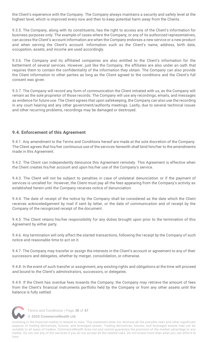the Client's experience with the Company. The Company always maintains a security and safety level at the highest level, which is improved every now and then to keep potential harm away from the Clients.

9.3.5. The Company, along with its constituents, has the right to access any of the Client's information for business purposes only. The example of cases where the Company, or any of its authorized representatives, can access the Client's account information are when the Company endorses a new service or a new product and when serving the Client's account. Information such as the Client's name, address, birth date, occupation, assets, and income are used accordingly.

9.3.6. The Company and its affiliated companies are also entitled to the Client's information for the betterment of several services. However, just like the Company, the affiliates are also under an oath that requires them to contain the confidentiality of the information they obtain. The Company can also provide the Client information to other parties as long as the Client agreed to the conditions and the Client's full consent was given.

9.3.7. The Company will record any form of communication the Client initiated with us, as the Company will remain as the sole proprietor of those records. The Company will use any recordings, emails, and messages as evidence for future use. The Client agrees that upon safekeeping, the Company can also use the recording in any court hearing and any other government/authority meetings. Lastly, due to several technical issues and other recurring problems, recordings may be damaged or destroyed.

# <span id="page-39-0"></span>**9.4. Enforcement of this Agreement**

9.4.1. Any amendment to the Terms and Conditions hereof are made at the sole discretion of the Company. The Client agrees that his/her continuous use of the services herewith shall bind him/her to the amendments made in this Agreement.

9.4.2. The Client can independently denounce this Agreement remotely. This Agreement is effective when the Client creates his/her account and upon his/her use of the Company's service.

9.4.3. The Client will not be subject to penalties in case of unilateral denunciation or if the payment of services is uncalled for. However, the Client must pay all the fees appearing from the Company's activity as established herein until the Company receives notice of denunciation.

9.4.4. The date of receipt of the notice by the Company shall be considered as the date which the Client receives acknowledgement by mail if sent by letter, or the date of communication and of receipt by the Company of the recognized receipt of the document.

9.4.5. The Client retains his/her responsibility for any duties brought upon prior to the termination of this Agreement by either party.

9.4.6. Any termination will only affect the started transactions, following the receipt by the Company of such notice and reasonable time to act on it.

9.4.7. The Company may transfer or assign the interests in the Client's account or agreement to any of their successors and delegates, whether by merger, consolidation, or otherwise.

9.4.8. In the event of such transfer or assignment, any existing rights and obligations at the time will proceed and bound to the Client's administrators, successors, or delegates.

9.4.9. If the Client has overdue fees towards the Company, the Company may retrieve the amount of fees from the Client's financial instruments portfolio held by the Company or from any other assets until the balance is fully settled.



Terms and Conditions | Page **38** of **47**

**[© 2020 CommerceWealth Ltd.](#page-1-0)**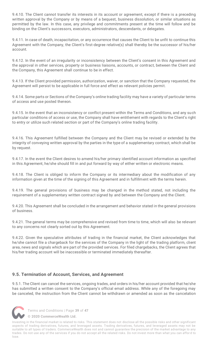9.4.10. The Client cannot transfer its interests in its account or agreement, except if there is a preceding written approval by the Company or by means of a bequest, business dissolution, or similar situations as permitted by the law. In this case, any privilege and commitments present at the time will follow and be binding on the Client's successors, executors, administrators, descendants, or delegates.

9.4.11. In case of death, incapacitation, or any occurrence that causes the Client to be unfit to continue this Agreement with the Company, the Client's first-degree relative(s) shall thereby be the successor of his/her account.

9.4.12. In the event of an irregularity or inconsistency between the Client's consent in this Agreement and the approval in other services, property or business liaisons, accounts, or contract, between the Client and the Company, this Agreement shall continue to be in effect.

9.4.13. If the Client provided permission, authorization, waiver, or sanction that the Company requested, the Agreement will persist to be applicable in full force and effect as relevant policies permit.

9.4.14. Some parts or Sections of the Company's online trading facility may have a variety of particular terms of access and use posted thereon.

9.4.15. In the event that an inconsistency or conflict present within the Terms and Conditions, and any such particular conditions of access or use, the Company shall have entitlement with regards to the Client's right to entry or utilize such related section or part of the Company's online trading facility.

9.4.16. This Agreement fulfilled between the Company and the Client may be revised or extended by the integrity of conveying written approval by the parties in the type of a supplementary contract, which shall be by request.

9.4.17. In the event the Client desires to amend his/her primary identified account information as specified in this Agreement, he/she should fill in and put forward by way of either written or electronic means.

9.4.18. The Client is obliged to inform the Company or its intermediary about the modification of any information given at the time of the signing of this Agreement and in fulfillment with the terms herein.

9.4.19. The general provisions of business may be changed in the method stated, not including the requirement of a supplementary written contract signed by and between the Company and the Client.

9.4.20. This Agreement shall be concluded in the arrangement and behavior stated in the general provisions of business.

9.4.21. The general terms may be comprehensive and revised from time to time, which will also be relevant to any concerns not clearly sorted out by this Agreement.

9.4.22. Given the speculative attributes of trading in the financial market, the Client acknowledges that he/she cannot file a chargeback for the services of the Company in the light of the trading platform, client area, news and signals which are part of the provided services. For filed chargebacks, the Client agrees that his/her trading account will be inaccessible or terminated immediately thereafter.

# <span id="page-40-0"></span>**9.5. Termination of Account, Services, and Agreement**

9.5.1. The Client can cancel the services, ongoing trades, and orders in his/her account provided that he/she has submitted a written consent to the Company's official email address. While any of the foregoing may be canceled, the instruction from the Client cannot be withdrawn or amended as soon as the cancelation



Terms and Conditions | Page **39** of **47**

**[© 2020 CommerceWealth Ltd.](#page-1-0)**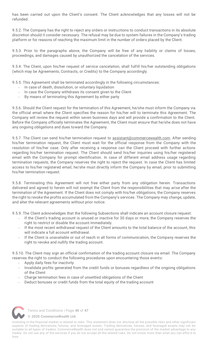has been carried out upon the Client's consent. The Client acknowledges that any losses will not be refunded.

9.5.2. The Company has the right to reject any orders or instructions to conduct transactions in its absolute discretion should it consider necessary. The refusal may be due to system failures in the Company's trading platform or for reasons of reaching the maximum limit in the number of orders placed by the Client.

9.5.3. Prior to the paragraphs above, the Company will be free of any liability or claims of losses, proceedings, and damages caused by unauthorized the cancelation of the services.

9.5.4. The Client, upon his/her request of service cancelation, shall fulfill his/her outstanding obligations (which may be Agreements, Contracts, or Credits) to the Company accordingly.

9.5.5. This Agreement shall be terminated accordingly in the following circumstances:

- In case of death, dissolution, or voluntary liquidation
- In case the Company withdraws its consent given to the Client
- By means of terminating this Agreement by either party

9.5.6. Should the Client request for the termination of this Agreement, he/she must inform the Company via the official email where the Client specifies the reason for his/her will to terminate this Agreement. The Company will review the request within seven business days and will provide a confirmation to the Client. Before the Company officially terminates the Agreement, the Client must ensure that he/she does not have any ongoing obligations and dues toward the Company.

9.5.7. The Client can send his/her termination request to [assistant@commercewealth.com.](mailto:assistant@commercewealth.com) After sending his/her termination request, the Client must wait for the official response from the Company with the resolution of his/her case. Only after receiving a response can the Client proceed with further actions regarding his/her termination request. The Client should send his/her inquiries using his/her registered email with the Company for prompt identification. In case of different email address usage regarding termination requests, the Company reserves the right to reject the request. In case the Client has limited access to his/her registered email, he/she must directly inform the Company by email, prior to submitting his/her termination request.

9.5.8. Terminating this Agreement will not free either party from any obligation herein. Transactions delivered and agreed to herein will not exempt the Client from the responsibilities that may arise after the termination of the Agreement. If the Client does not comply with his/her obligations, the Company reserves the right to revoke the profits accumulated from the Company's services. The Company may change, update, and alter the relevant agreements without prior notice.

9.5.9. The Client acknowledges that the following Subsections shall indicate an account closure request:

- If the Client's trading account is unused or inactive for 30 days or more, the Company reserves the right to restrict or disable the account immediately.
- If the most recent withdrawal request of the Client amounts to the total balance of the account, this will indicate a full account withdrawal.
- If the Client is unavailable or out of reach in all forms of communication, the Company reserves the right to revoke and nullify the trading account.

9.5.10. The Client may sign an official confirmation of the trading account closure via email. The Company reserves the right to conduct the following procedures upon encountering those events:

- Apply daily fees for inactivity
- Invalidate profits generated from the credit funds or bonuses regardless of the ongoing obligations of the Client
- Charge termination fees in case of unsettled obligations of the Client
- Deduct bonuses or credit funds from the total equity of the trading account



Terms and Conditions | Page **40** of **47**

**[© 2020 CommerceWealth Ltd.](#page-1-0)**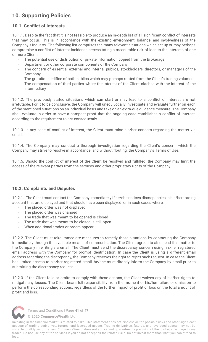# <span id="page-42-0"></span>**10. Supporting Policies**

# <span id="page-42-1"></span>**10.1. Conflict of Interests**

10.1.1. Despite the fact that it is not feasible to produce an in-depth list of all significant conflict of interests that may occur. This is in accordance with the existing environment, balance, and involvedness of the Company's industry. The following list comprises the many relevant situations which set up or may perhaps compromise a conflict of interest incidence necessitating a measurable risk of loss to the interests of one or more Clients:

- The potential use or distribution of private information copied from the Brokerage
- Department or other corporate components of the Company
- The concern of essential external and internal publics, stockholders, directors, or managers of the Company
- The gratuitous edifice of both publics which may perhaps rooted from the Client's trading volumes
- The compensation of third parties where the interest of the Client clashes with the interest of the intermediary

10.1.2. The previously stated situations which can start or may lead to a conflict of interest are not irrefutable. For it to be conclusive, the Company will unequivocally investigate and evaluate further on each of the mentioned situations on an individual basis and take on an extra-due diligence measure. The Company shall evaluate in order to have a compact proof that the ongoing case establishes a conflict of interest, according to the requirement to act consequently.

10.1.3. In any case of conflict of interest, the Client must raise his/her concern regarding the matter via email.

10.1.4. The Company may conduct a thorough investigation regarding the Client's concern, which the Company may strive to resolve in accordance, and without flouting, the Company's Terms of Use.

10.1.5. Should the conflict of interest of the Client be resolved and fulfilled, the Company may limit the access of the relevant parties from the services and other proprietary rights of the Company.

### <span id="page-42-2"></span>**10.2. Complaints and Disputes**

10.2.1. The Client must contact the Company immediately if he/she notices discrepancies in his/her trading account that are displayed and that should have been displayed, or in such cases where:

- The placed order was not displayed
- The placed order was changed
- The trade that was meant to be opened is closed
- The trade that was meant to be closed is still open
- When additional trades or orders appear

10.2.2. The Client must take immediate measures to remedy these situations by contacting the Company immediately through the available means of communication. The Client agrees to also send this matter to the Company in writing via email. The Client must send the discrepancy concern using his/her registered email address with the Company for prompt identification. In case the Client is using a different email address regarding the discrepancy, the Company reserves the right to reject such request. In case the Client has limited access to his/her registered email, he/she must directly inform the Company by email prior to submitting the discrepancy request.

10.2.3. If the Client fails or omits to comply with these actions, the Client waives any of his/her rights to mitigate any losses. The Client bears full responsibility from the moment of his/her failure or omission to perform the corresponding actions, regardless of the further impact of profit or loss on the total amount of profit and loss.



Terms and Conditions | Page **41** of **47**

**[© 2020 CommerceWealth Ltd.](#page-1-0)**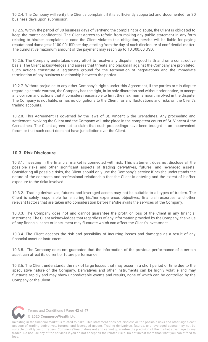10.2.4. The Company will verify the Client's complaint if it is sufficiently supported and documented for 30 business days upon submission.

10.2.5. Within the period of 30 business days of verifying the complaint or dispute, the Client is obligated to keep the matter confidential. The Client agrees to refrain from making any public statement in any form relating to his/her complaint. In case the Client violates this obligation, he/she will be liable for paying reputational damages of 100.00 USD per day, starting from the day of such disclosure of confidential matter. The cumulative maximum amount of the payment may reach up to 10,000.00 USD.

10.2.6. The Company undertakes every effort to resolve any dispute, in good faith and on a constructive basis. The Client acknowledges and agrees that threats and blackmail against the Company are prohibited. Such actions constitute a legitimate ground for the termination of negotiations and the immediate termination of any business relationship between the parties.

10.2.7. Without prejudice to any other Company's rights under this Agreement, if the parties ar e in dispute regarding a trade warrant, the Company has the right, in its sole discretion and without prior notice, to accept any opinion and actions that it considers reasonable to limit the maximum amount involved in the dispute. The Company is not liable, or has no obligations to the Client, for any fluctuations and risks on the Client's trading accounts.

10.2.8. This Agreement is governed by the laws of St. Vincent & the Grenadines. Any proceeding and settlement involving the Client and the Company will take place in the competent courts of St. Vincent & the Grenadines. The Client agrees not to claim that such proceedings have been brought in an inconvenient forum or that such court does not have jurisdiction over the Client.

### <span id="page-43-0"></span>**10.3. Risk Disclosure**

10.3.1. Investing in the financial market is connected with risk. This statement does not disclose all the possible risks and other significant aspects of trading derivatives, futures, and leveraged assets. Considering all possible risks, the Client should only use the Company's service if he/she understands the nature of the contracts and professional relationship that the Client is entering and the extent of his/her exposure to the risks involved.

10.3.2. Trading derivatives, futures, and leveraged assets may not be suitable to all types of traders. The Client is solely responsible for ensuring his/her experience, objectives, financial resources, and other relevant factors that are taken into consideration before he/she avails the services of the Company.

10.3.3. The Company does not and cannot guarantee the profit or loss of the Client in any financial instrument. The Client acknowledges that regardless of any information provided by the Company, the value of any financial asset or instrument may fluctuate which can affect the Client's investment.

10.3.4. The Client accepts the risk and possibility of incurring losses and damages as a result of any financial asset or instrument.

10.3.5. The Company does not guarantee that the information of the previous performance of a certain asset can affect its current or future performance.

10.3.6. The Client understands the risk of large losses that may occur in a short period of time due to the speculative nature of the Company. Derivatives and other instruments can be highly volatile and may fluctuate rapidly and may show unpredictable events and results, none of which can be controlled by the Company or the Client.



Terms and Conditions | Page **42** of **47**

**[© 2020 CommerceWealth Ltd.](#page-1-0)**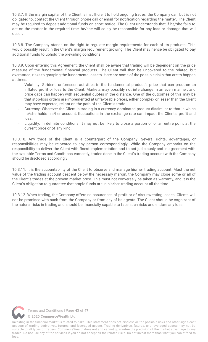10.3.7. If the margin capital of the Client is insufficient to hold ongoing trades, the Company can, but is not obligated to, contact the Client through phone call or email for notification regarding the matter. The Client may be required to deposit additional funds on short notice. The Client understands that if he/she fails to act on the matter in the required time, he/she will solely be responsible for any loss or damage that will occur.

10.3.8. The Company stands on the right to regulate margin requirements for each of its products. This would possibly result in the Client's margin requirement growing. The Client may hence be obligated to pay additional funds to uphold the prevailing conditions.

10.3.9. Upon entering this Agreement, the Client shall be aware that trading will be dependent on the price measure of the fundamental financial products. The Client will then be uncovered to the related, but overstated, risks to grasping the fundamental assets. Here are some of the possible risks that are to happen at times:

- Volatility: Strident, unforeseen activities in the fundamental product's price that can produce an inflated profit or loss to the Client. Markets may possibly not interchange in an even manner, and price gaps can happen with sequential quotes in the distance. One of the outcomes of this may be that stop-loss orders are implemented at unfavorable prices, either complex or lesser than the Client may have expected, reliant on the path of the Client's trade.
- Currency: Wherever the Client is trading in a currency-dominated product dissimilar to that in which he/she holds his/her account, fluctuations in the exchange rate can impact the Client's profit and loss.
- Liquidity: In definite conditions, it may not be likely to close a portion of or an entire point at the current price or of any kind.

10.3.10. Any trade of the Client is a counterpart of the Company. Several rights, advantages, or responsibilities may be relocated to any person correspondingly. While the Company embarks on the responsibility to deliver the Client with finest implementation and to act judiciously and in agreement with the available Terms and Conditions earnestly, trades done in the Client's trading account with the Company should be disclosed accordingly.

10.3.11. It is the accountability of the Client to observe and manage his/her trading account. Must the net value of the trading account descent below the necessary margin, the Company may close some or all of the Client's trades at the present market price. This must not conversely be taken as warranty, and it is the Client's obligation to guarantee that ample funds are in his/her trading account all the time.

10.3.12. When trading, the Company offers no assurances of profit or of circumventing losses. Clients will not be promised with such from the Company or from any of its agents. The Client should be cognizant of the natural risks in trading and should be financially capable to face such risks and endure any loss.

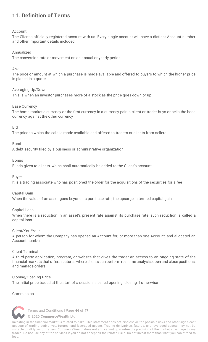# <span id="page-45-0"></span>**11. Definition of Terms**

### Account

The Client's officially registered account with us. Every single account will have a distinct Account number and other important details included

### Annualized

The conversion rate or movement on an annual or yearly period

### Ask

The price or amount at which a purchase is made available and offered to buyers to which the higher price is placed in a quote

### Averaging Up/Down

This is when an investor purchases more of a stock as the price goes down or up

### Base Currency

The home market's currency or the first currency in a currency pair; a client or trader buys or sells the base currency against the other currency

### Bid

The price to which the sale is made available and offered to traders or clients from sellers

### Bond

A debt security filed by a business or administrative organization

### Bonus

Funds given to clients, which shall automatically be added to the Client's account

### Buyer

It is a trading associate who has positioned the order for the acquisitions of the securities for a fee

### Capital Gain

When the value of an asset goes beyond its purchase rate, the upsurge is termed capital gain

Capital Loss

When there is a reduction in an asset's present rate against its purchase rate, such reduction is called a capital loss

### Client/You/Your

A person for whom the Company has opened an Account for, or more than one Account, and allocated an Account number

### Client Terminal

A third-party application, program, or website that gives the trader an access to an ongoing state of the financial markets that offers features where clients can perform real time analysis, open and close positions, and manage orders

### Closing/Opening Price

The initial price traded at the start of a session is called opening, closing if otherwise

### Commission



Terms and Conditions | Page **44** of **47**

**[© 2020 CommerceWealth Ltd.](#page-1-0)**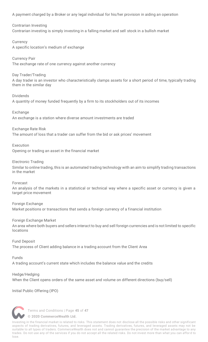A payment charged by a Broker or any legal individual for his/her provision in aiding an operation

Contrarian Investing Contrarian investing is simply investing in a falling market and sell stock in a bullish market

**Currency** A specific location's medium of exchange

Currency Pair The exchange rate of one currency against another currency

Day Trader/Trading A day trader is an investor who characteristically clamps assets for a short period of time, typically trading them in the similar day

Dividends A quantity of money funded frequently by a firm to its stockholders out of its incomes

Exchange An exchange is a station where diverse amount investments are traded

Exchange Rate Risk

The amount of loss that a trader can suffer from the bid or ask prices' movement

Execution Opening or trading an asset in the financial market

Electronic Trading Similar to online trading, this is an automated trading technology with an aim to simplify trading transactions in the market

Forecast

An analysis of the markets in a statistical or technical way where a specific asset or currency is given a target price movement

Foreign Exchange Market positions or transactions that sends a foreign currency of a financial institution

Foreign Exchange Market

An area where both buyers and sellers interact to buy and sell foreign currencies and is not limited to specific locations

Fund Deposit The process of Client adding balance in a trading account from the Client Area

Funds

A trading account's current state which includes the balance value and the credits

Hedge/Hedging When the Client opens orders of the same asset and volume on different directions (buy/sell)

Initial Public Offering (IPO)



Terms and Conditions | Page **45** of **47**

**[© 2020 CommerceWealth Ltd.](#page-1-0)**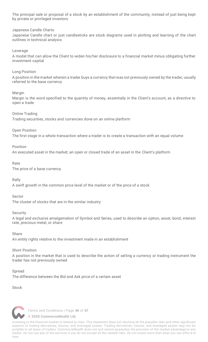The principal sale or proposal of a stock by an establishment of the community, instead of just being kept by private or privileged investors

### Japanese Candle Charts

Japanese Candle chart or just candlesticks are stock diagrams used in plotting and learning of the chart outlines in technical analysis

Leverage

A model that can allow the Client to widen his/her disclosure to a financial market minus obligating further investment capital

Long Position

A position in the market wherein a trader buys a currency that was not previously owned by the trader, usually referred to the base currency

### Margin

Margin is the word specified to the quantity of money, essentially in the Client's account, as a directive to open a trade

### Online Trading

Trading securities, stocks and currencies done on an online platform

### Open Position

The first stage in a whole transaction where a trader is to create a transaction with an equal volume

### Position

An executed asset in the market; an open or closed trade of an asset in the Client's platform

### Rate

The price of a base currency

### Rally

A swift growth in the common price level of the market or of the price of a stock

### Sector

The cluster of stocks that are in the similar industry

### Security

A legal and exclusive amalgamation of Symbol and Series, used to describe an option, asset, bond, interest rate, precious metal, or share

### Share

An entity rights relative to the investment made in an establishment

### Short Position

A position in the market that is used to describe the action of selling a currency or trading instrument the trader has not previously owned

### **Spread**

The difference between the Bid and Ask price of a certain asset

**Stock** 



Terms and Conditions | Page **46** of **47**

**[© 2020 CommerceWealth Ltd.](#page-1-0)**